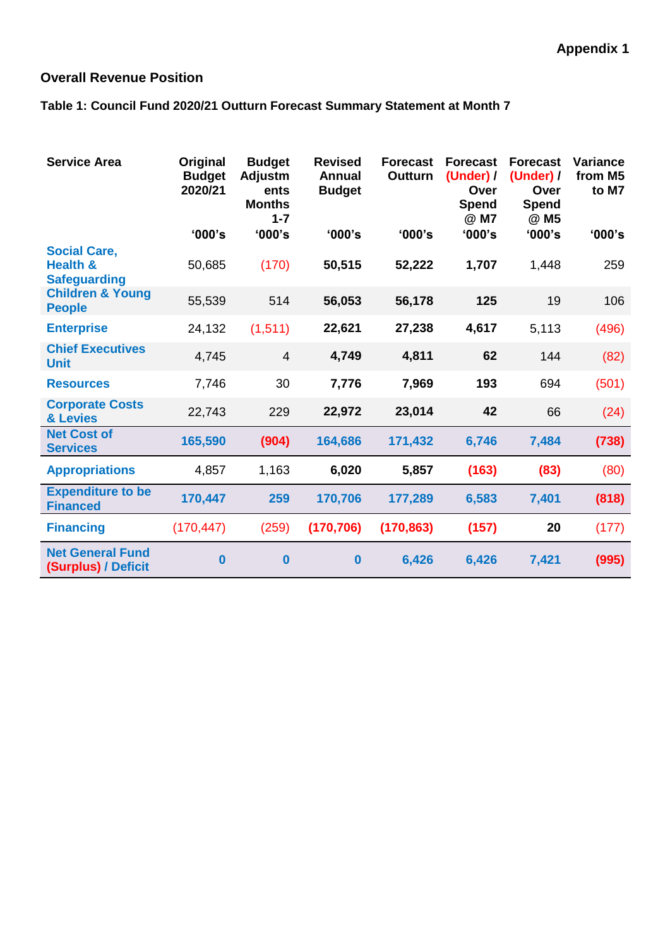## **Overall Revenue Position**

## **Table 1: Council Fund 2020/21 Outturn Forecast Summary Statement at Month 7**

| <b>Service Area</b>                                               | Original<br><b>Budget</b><br>2020/21 | <b>Budget</b><br>Adjustm<br>ents<br><b>Months</b><br>$1 - 7$ | <b>Revised</b><br><b>Annual</b><br><b>Budget</b> | <b>Forecast</b><br><b>Outturn</b> | <b>Forecast</b><br>(Under) /<br>Over<br><b>Spend</b><br>@ M7 | <b>Forecast</b><br>(Under) /<br>Over<br>Spend<br>@ M5 | Variance<br>from M5<br>to M7 |
|-------------------------------------------------------------------|--------------------------------------|--------------------------------------------------------------|--------------------------------------------------|-----------------------------------|--------------------------------------------------------------|-------------------------------------------------------|------------------------------|
|                                                                   | '000's                               | '000's                                                       | '000's                                           | '000's                            | '000's                                                       | '000's                                                | '000's                       |
| <b>Social Care,</b><br><b>Health &amp;</b><br><b>Safeguarding</b> | 50,685                               | (170)                                                        | 50,515                                           | 52,222                            | 1,707                                                        | 1,448                                                 | 259                          |
| <b>Children &amp; Young</b><br><b>People</b>                      | 55,539                               | 514                                                          | 56,053                                           | 56,178                            | 125                                                          | 19                                                    | 106                          |
| <b>Enterprise</b>                                                 | 24,132                               | (1, 511)                                                     | 22,621                                           | 27,238                            | 4,617                                                        | 5,113                                                 | (496)                        |
| <b>Chief Executives</b><br><b>Unit</b>                            | 4,745                                | $\overline{4}$                                               | 4,749                                            | 4,811                             | 62                                                           | 144                                                   | (82)                         |
| <b>Resources</b>                                                  | 7,746                                | 30                                                           | 7,776                                            | 7,969                             | 193                                                          | 694                                                   | (501)                        |
| <b>Corporate Costs</b><br>& Levies                                | 22,743                               | 229                                                          | 22,972                                           | 23,014                            | 42                                                           | 66                                                    | (24)                         |
| <b>Net Cost of</b><br><b>Services</b>                             | 165,590                              | (904)                                                        | 164,686                                          | 171,432                           | 6,746                                                        | 7,484                                                 | (738)                        |
| <b>Appropriations</b>                                             | 4,857                                | 1,163                                                        | 6,020                                            | 5,857                             | (163)                                                        | (83)                                                  | (80)                         |
| <b>Expenditure to be</b><br><b>Financed</b>                       | 170,447                              | 259                                                          | 170,706                                          | 177,289                           | 6,583                                                        | 7,401                                                 | (818)                        |
| <b>Financing</b>                                                  | (170, 447)                           | (259)                                                        | (170, 706)                                       | (170, 863)                        | (157)                                                        | 20                                                    | (177)                        |
| <b>Net General Fund</b><br>(Surplus) / Deficit                    | $\bf{0}$                             | $\bf{0}$                                                     | $\bf{0}$                                         | 6,426                             | 6,426                                                        | 7,421                                                 | (995)                        |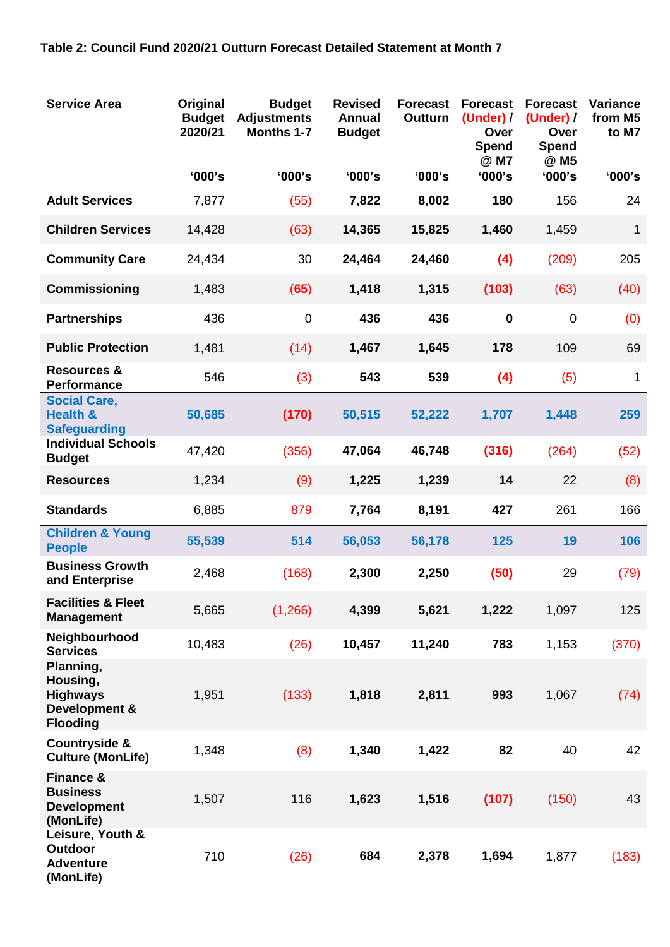| <b>Service Area</b>                                                          | Original<br><b>Budget</b><br>2020/21 | <b>Budget</b><br><b>Adjustments</b><br><b>Months 1-7</b> | <b>Revised</b><br><b>Annual</b><br><b>Budget</b> | <b>Forecast</b><br><b>Outturn</b> | <b>Forecast</b><br>(Under) /<br>Over<br><b>Spend</b><br>@ M7 | <b>Forecast</b><br>(Under) $/$<br>Over<br><b>Spend</b><br>@ M5 | <b>Variance</b><br>from M5<br>to M7 |
|------------------------------------------------------------------------------|--------------------------------------|----------------------------------------------------------|--------------------------------------------------|-----------------------------------|--------------------------------------------------------------|----------------------------------------------------------------|-------------------------------------|
|                                                                              | '000's                               | '000's                                                   | '000's                                           | '000's                            | '000's                                                       | '000's                                                         | '000's                              |
| <b>Adult Services</b>                                                        | 7,877                                | (55)                                                     | 7,822                                            | 8,002                             | 180                                                          | 156                                                            | 24                                  |
| <b>Children Services</b>                                                     | 14,428                               | (63)                                                     | 14,365                                           | 15,825                            | 1,460                                                        | 1,459                                                          | $\mathbf{1}$                        |
| <b>Community Care</b>                                                        | 24,434                               | 30                                                       | 24,464                                           | 24,460                            | (4)                                                          | (209)                                                          | 205                                 |
| Commissioning                                                                | 1,483                                | (65)                                                     | 1,418                                            | 1,315                             | (103)                                                        | (63)                                                           | (40)                                |
| <b>Partnerships</b>                                                          | 436                                  | $\mathbf 0$                                              | 436                                              | 436                               | $\mathbf 0$                                                  | $\overline{0}$                                                 | (0)                                 |
| <b>Public Protection</b>                                                     | 1,481                                | (14)                                                     | 1,467                                            | 1,645                             | 178                                                          | 109                                                            | 69                                  |
| <b>Resources &amp;</b><br><b>Performance</b>                                 | 546                                  | (3)                                                      | 543                                              | 539                               | (4)                                                          | (5)                                                            | 1                                   |
| <b>Social Care,</b><br><b>Health &amp;</b><br><b>Safeguarding</b>            | 50,685                               | (170)                                                    | 50,515                                           | 52,222                            | 1,707                                                        | 1,448                                                          | 259                                 |
| <b>Individual Schools</b><br><b>Budget</b>                                   | 47,420                               | (356)                                                    | 47,064                                           | 46,748                            | (316)                                                        | (264)                                                          | (52)                                |
| <b>Resources</b>                                                             | 1,234                                | (9)                                                      | 1,225                                            | 1,239                             | 14                                                           | 22                                                             | (8)                                 |
| <b>Standards</b>                                                             | 6,885                                | 879                                                      | 7,764                                            | 8,191                             | 427                                                          | 261                                                            | 166                                 |
| <b>Children &amp; Young</b><br><b>People</b>                                 | 55,539                               | 514                                                      | 56,053                                           | 56,178                            | 125                                                          | 19                                                             | 106                                 |
| <b>Business Growth</b><br>and Enterprise                                     | 2,468                                | (168)                                                    | 2,300                                            | 2,250                             | (50)                                                         | 29                                                             | (79)                                |
| <b>Facilities &amp; Fleet</b><br><b>Management</b>                           | 5,665                                | (1,266)                                                  | 4,399                                            | 5,621                             | 1,222                                                        | 1,097                                                          | 125                                 |
| Neighbourhood<br><b>Services</b>                                             | 10,483                               | (26)                                                     | 10,457                                           | 11,240                            | 783                                                          | 1,153                                                          | (370)                               |
| Planning,<br>Housing,<br><b>Highways</b><br>Development &<br><b>Flooding</b> | 1,951                                | (133)                                                    | 1,818                                            | 2,811                             | 993                                                          | 1,067                                                          | (74)                                |
| <b>Countryside &amp;</b><br><b>Culture (MonLife)</b>                         | 1,348                                | (8)                                                      | 1,340                                            | 1,422                             | 82                                                           | 40                                                             | 42                                  |
| <b>Finance &amp;</b><br><b>Business</b><br><b>Development</b><br>(MonLife)   | 1,507                                | 116                                                      | 1,623                                            | 1,516                             | (107)                                                        | (150)                                                          | 43                                  |
| Leisure, Youth &<br>Outdoor<br><b>Adventure</b><br>(MonLife)                 | 710                                  | (26)                                                     | 684                                              | 2,378                             | 1,694                                                        | 1,877                                                          | (183)                               |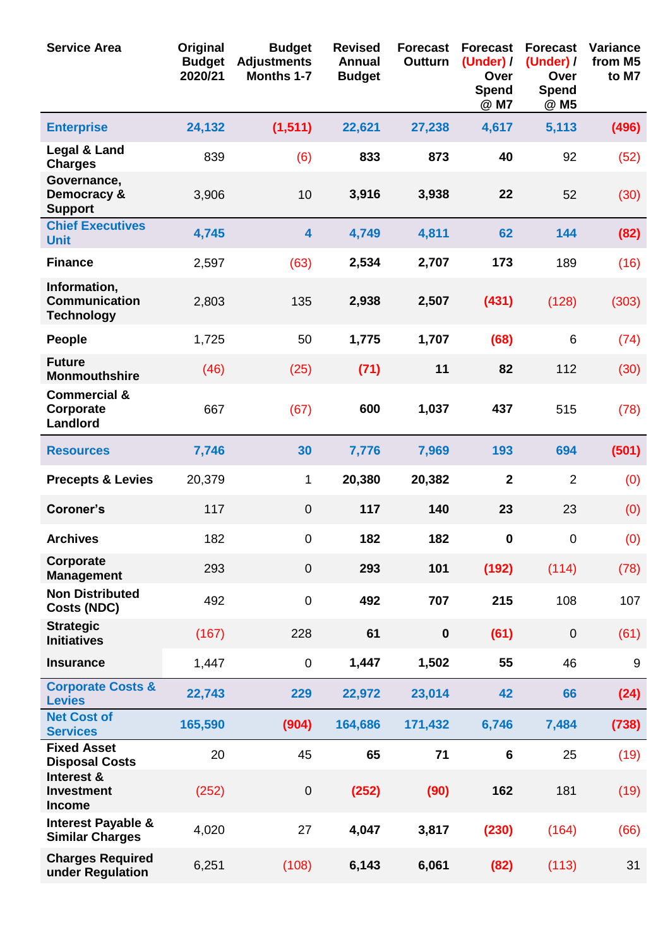| <b>Service Area</b>                                       | Original<br><b>Budget</b><br>2020/21 | <b>Budget</b><br><b>Adjustments</b><br>Months 1-7 | <b>Revised</b><br><b>Annual</b><br><b>Budget</b> | <b>Forecast</b><br><b>Outturn</b> | <b>Forecast</b><br>(Under) /<br>Over<br><b>Spend</b><br>@ M7 | <b>Forecast</b><br>(Under) /<br>Over<br><b>Spend</b><br>@ M5 | <b>Variance</b><br>from M5<br>to M7 |
|-----------------------------------------------------------|--------------------------------------|---------------------------------------------------|--------------------------------------------------|-----------------------------------|--------------------------------------------------------------|--------------------------------------------------------------|-------------------------------------|
| <b>Enterprise</b>                                         | 24,132                               | (1, 511)                                          | 22,621                                           | 27,238                            | 4,617                                                        | 5,113                                                        | (496)                               |
| Legal & Land<br><b>Charges</b>                            | 839                                  | (6)                                               | 833                                              | 873                               | 40                                                           | 92                                                           | (52)                                |
| Governance,<br>Democracy &<br><b>Support</b>              | 3,906                                | 10                                                | 3,916                                            | 3,938                             | 22                                                           | 52                                                           | (30)                                |
| <b>Chief Executives</b><br><b>Unit</b>                    | 4,745                                | $\overline{\mathbf{4}}$                           | 4,749                                            | 4,811                             | 62                                                           | 144                                                          | (82)                                |
| <b>Finance</b>                                            | 2,597                                | (63)                                              | 2,534                                            | 2,707                             | 173                                                          | 189                                                          | (16)                                |
| Information,<br><b>Communication</b><br><b>Technology</b> | 2,803                                | 135                                               | 2,938                                            | 2,507                             | (431)                                                        | (128)                                                        | (303)                               |
| <b>People</b>                                             | 1,725                                | 50                                                | 1,775                                            | 1,707                             | (68)                                                         | 6                                                            | (74)                                |
| <b>Future</b><br><b>Monmouthshire</b>                     | (46)                                 | (25)                                              | (71)                                             | 11                                | 82                                                           | 112                                                          | (30)                                |
| <b>Commercial &amp;</b><br>Corporate<br>Landlord          | 667                                  | (67)                                              | 600                                              | 1,037                             | 437                                                          | 515                                                          | (78)                                |
| <b>Resources</b>                                          | 7,746                                | 30                                                | 7,776                                            | 7,969                             | 193                                                          | 694                                                          | (501)                               |
| <b>Precepts &amp; Levies</b>                              | 20,379                               | 1                                                 | 20,380                                           | 20,382                            | $\overline{2}$                                               | $\overline{2}$                                               | (0)                                 |
| Coroner's                                                 | 117                                  | $\mathbf 0$                                       | 117                                              | 140                               | 23                                                           | 23                                                           | (0)                                 |
| <b>Archives</b>                                           | 182                                  | $\pmb{0}$                                         | 182                                              | 182                               | $\bf{0}$                                                     | $\pmb{0}$                                                    | (0)                                 |
| Corporate<br><b>Management</b>                            | 293                                  | $\mathbf 0$                                       | 293                                              | 101                               | (192)                                                        | (114)                                                        | (78)                                |
| <b>Non Distributed</b><br><b>Costs (NDC)</b>              | 492                                  | $\pmb{0}$                                         | 492                                              | 707                               | 215                                                          | 108                                                          | 107                                 |
| <b>Strategic</b><br><b>Initiatives</b>                    | (167)                                | 228                                               | 61                                               | $\pmb{0}$                         | (61)                                                         | $\pmb{0}$                                                    | (61)                                |
| <b>Insurance</b>                                          | 1,447                                | $\mathbf 0$                                       | 1,447                                            | 1,502                             | 55                                                           | 46                                                           | $\boldsymbol{9}$                    |
| <b>Corporate Costs &amp;</b><br><b>Levies</b>             | 22,743                               | 229                                               | 22,972                                           | 23,014                            | 42                                                           | 66                                                           | (24)                                |
| <b>Net Cost of</b><br><b>Services</b>                     | 165,590                              | (904)                                             | 164,686                                          | 171,432                           | 6,746                                                        | 7,484                                                        | (738)                               |
| <b>Fixed Asset</b><br><b>Disposal Costs</b>               | 20                                   | 45                                                | 65                                               | 71                                | $6\phantom{1}$                                               | 25                                                           | (19)                                |
| Interest &<br><b>Investment</b><br><b>Income</b>          | (252)                                | $\boldsymbol{0}$                                  | (252)                                            | (90)                              | 162                                                          | 181                                                          | (19)                                |
| <b>Interest Payable &amp;</b><br><b>Similar Charges</b>   | 4,020                                | 27                                                | 4,047                                            | 3,817                             | (230)                                                        | (164)                                                        | (66)                                |
| <b>Charges Required</b><br>under Regulation               | 6,251                                | (108)                                             | 6,143                                            | 6,061                             | (82)                                                         | (113)                                                        | 31                                  |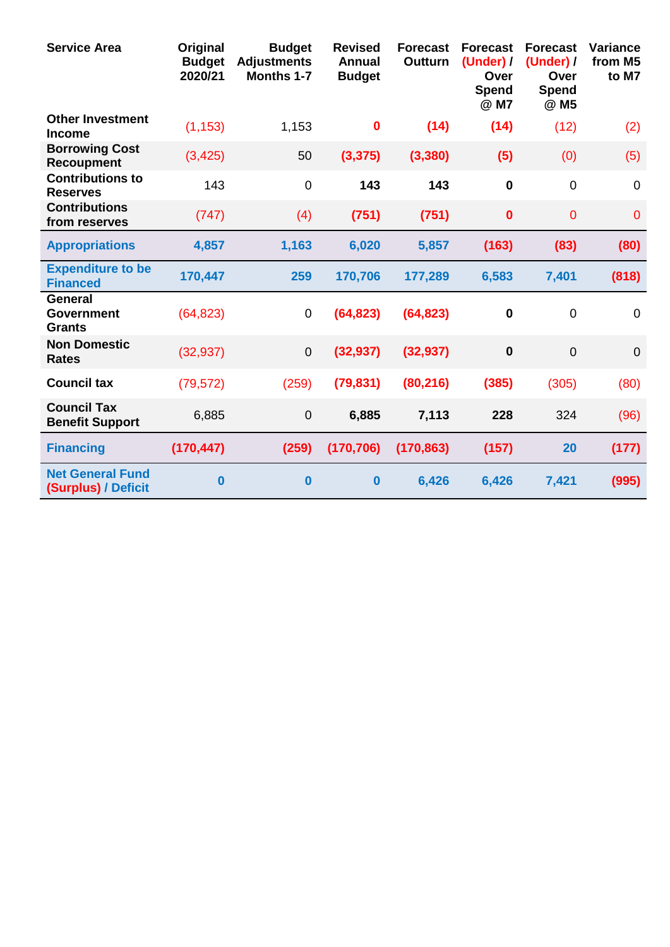| <b>Service Area</b>                                  | Original<br><b>Budget</b><br>2020/21 | <b>Budget</b><br><b>Adjustments</b><br><b>Months 1-7</b> | <b>Revised</b><br><b>Annual</b><br><b>Budget</b> | <b>Forecast</b><br><b>Outturn</b> | <b>Forecast</b><br>(Under) /<br>Over<br><b>Spend</b><br>@ M7 | <b>Forecast</b><br>(Under) /<br>Over<br>Spend<br>@ M5 | <b>Variance</b><br>from M5<br>to M7 |
|------------------------------------------------------|--------------------------------------|----------------------------------------------------------|--------------------------------------------------|-----------------------------------|--------------------------------------------------------------|-------------------------------------------------------|-------------------------------------|
| <b>Other Investment</b><br><b>Income</b>             | (1, 153)                             | 1,153                                                    | $\bf{0}$                                         | (14)                              | (14)                                                         | (12)                                                  | (2)                                 |
| <b>Borrowing Cost</b><br><b>Recoupment</b>           | (3, 425)                             | 50                                                       | (3, 375)                                         | (3, 380)                          | (5)                                                          | (0)                                                   | (5)                                 |
| <b>Contributions to</b><br><b>Reserves</b>           | 143                                  | $\mathbf 0$                                              | 143                                              | 143                               | $\mathbf 0$                                                  | $\mathbf 0$                                           | $\mathbf 0$                         |
| <b>Contributions</b><br>from reserves                | (747)                                | (4)                                                      | (751)                                            | (751)                             | $\bf{0}$                                                     | $\overline{0}$                                        | $\overline{0}$                      |
| <b>Appropriations</b>                                | 4,857                                | 1,163                                                    | 6,020                                            | 5,857                             | (163)                                                        | (83)                                                  | (80)                                |
| <b>Expenditure to be</b><br><b>Financed</b>          | 170,447                              | 259                                                      | 170,706                                          | 177,289                           | 6,583                                                        | 7,401                                                 | (818)                               |
| <b>General</b><br><b>Government</b><br><b>Grants</b> | (64, 823)                            | 0                                                        | (64, 823)                                        | (64, 823)                         | $\mathbf 0$                                                  | $\overline{0}$                                        | $\overline{0}$                      |
| <b>Non Domestic</b><br><b>Rates</b>                  | (32, 937)                            | $\mathbf 0$                                              | (32, 937)                                        | (32, 937)                         | $\mathbf 0$                                                  | $\overline{0}$                                        | $\mathbf 0$                         |
| <b>Council tax</b>                                   | (79, 572)                            | (259)                                                    | (79, 831)                                        | (80, 216)                         | (385)                                                        | (305)                                                 | (80)                                |
| <b>Council Tax</b><br><b>Benefit Support</b>         | 6,885                                | $\pmb{0}$                                                | 6,885                                            | 7,113                             | 228                                                          | 324                                                   | (96)                                |
| <b>Financing</b>                                     | (170, 447)                           | (259)                                                    | (170, 706)                                       | (170, 863)                        | (157)                                                        | 20                                                    | (177)                               |
| <b>Net General Fund</b><br>(Surplus) / Deficit       | $\bf{0}$                             | $\bf{0}$                                                 | $\bf{0}$                                         | 6,426                             | 6,426                                                        | 7,421                                                 | (995)                               |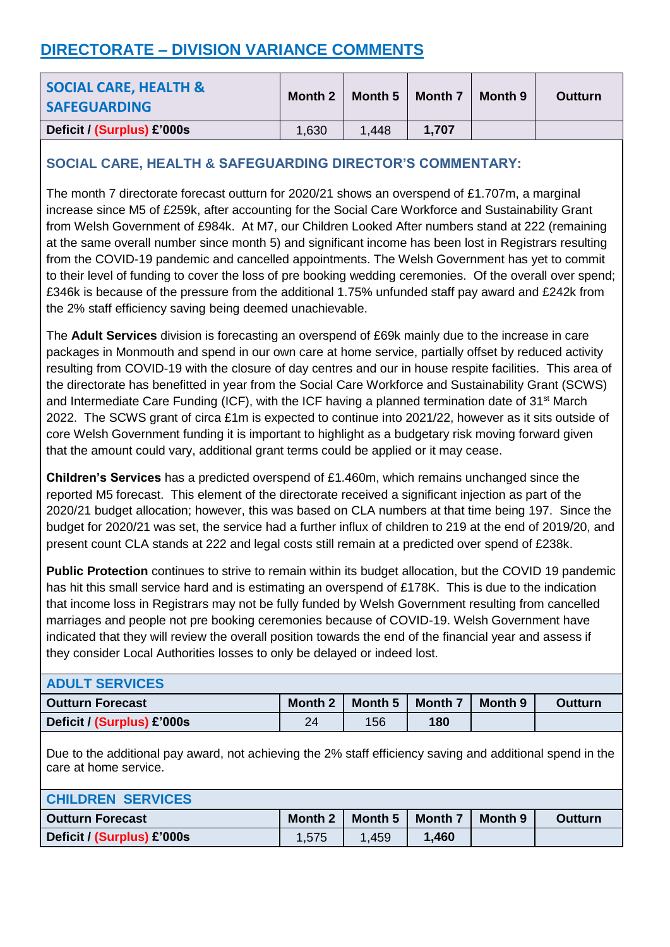# **DIRECTORATE – DIVISION VARIANCE COMMENTS**

| <b>SOCIAL CARE, HEALTH &amp;</b><br><b>SAFEGUARDING</b> | Month 2 | Month 5 | <b>Month 7</b> | Month 9 | <b>Outturn</b> |
|---------------------------------------------------------|---------|---------|----------------|---------|----------------|
| Deficit / (Surplus) £'000s                              | 1,630   | 1.448   | 1.707          |         |                |

## **SOCIAL CARE, HEALTH & SAFEGUARDING DIRECTOR'S COMMENTARY:**

The month 7 directorate forecast outturn for 2020/21 shows an overspend of £1.707m, a marginal increase since M5 of £259k, after accounting for the Social Care Workforce and Sustainability Grant from Welsh Government of £984k. At M7, our Children Looked After numbers stand at 222 (remaining at the same overall number since month 5) and significant income has been lost in Registrars resulting from the COVID-19 pandemic and cancelled appointments. The Welsh Government has yet to commit to their level of funding to cover the loss of pre booking wedding ceremonies. Of the overall over spend; £346k is because of the pressure from the additional 1.75% unfunded staff pay award and £242k from the 2% staff efficiency saving being deemed unachievable.

The **Adult Services** division is forecasting an overspend of £69k mainly due to the increase in care packages in Monmouth and spend in our own care at home service, partially offset by reduced activity resulting from COVID-19 with the closure of day centres and our in house respite facilities. This area of the directorate has benefitted in year from the Social Care Workforce and Sustainability Grant (SCWS) and Intermediate Care Funding (ICF), with the ICF having a planned termination date of 31<sup>st</sup> March 2022. The SCWS grant of circa £1m is expected to continue into 2021/22, however as it sits outside of core Welsh Government funding it is important to highlight as a budgetary risk moving forward given that the amount could vary, additional grant terms could be applied or it may cease.

**Children's Services** has a predicted overspend of £1.460m, which remains unchanged since the reported M5 forecast. This element of the directorate received a significant injection as part of the 2020/21 budget allocation; however, this was based on CLA numbers at that time being 197. Since the budget for 2020/21 was set, the service had a further influx of children to 219 at the end of 2019/20, and present count CLA stands at 222 and legal costs still remain at a predicted over spend of £238k.

**Public Protection** continues to strive to remain within its budget allocation, but the COVID 19 pandemic has hit this small service hard and is estimating an overspend of £178K. This is due to the indication that income loss in Registrars may not be fully funded by Welsh Government resulting from cancelled marriages and people not pre booking ceremonies because of COVID-19. Welsh Government have indicated that they will review the overall position towards the end of the financial year and assess if they consider Local Authorities losses to only be delayed or indeed lost.

| <b>ADULT SERVICES</b>      |         |         |         |         |                |
|----------------------------|---------|---------|---------|---------|----------------|
| <b>Outturn Forecast</b>    | Month 2 | Month 5 | Month 7 | Month 9 | <b>Outturn</b> |
| Deficit / (Surplus) £'000s | 24      | 156     | 180     |         |                |

Due to the additional pay award, not achieving the 2% staff efficiency saving and additional spend in the care at home service.

| <b>CHILDREN SERVICES</b>   |         |         |         |         |                |
|----------------------------|---------|---------|---------|---------|----------------|
| <b>Outturn Forecast</b>    | Month 2 | Month 5 | Month 7 | Month 9 | <b>Outturn</b> |
| Deficit / (Surplus) £'000s | 1,575   | 1,459   | .460    |         |                |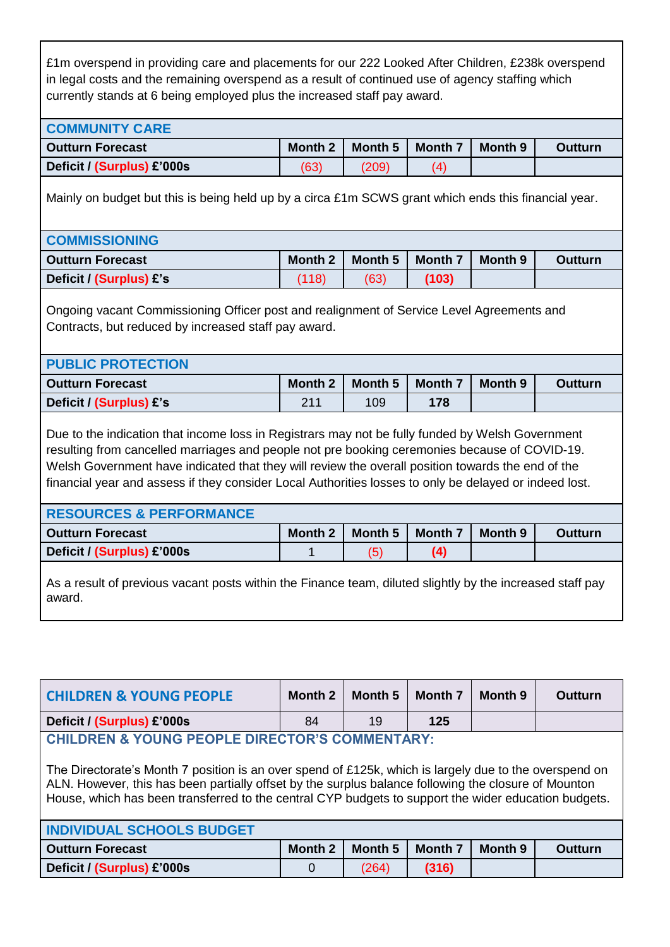£1m overspend in providing care and placements for our 222 Looked After Children, £238k overspend in legal costs and the remaining overspend as a result of continued use of agency staffing which currently stands at 6 being employed plus the increased staff pay award.

| <b>Outturn Forecast</b>                                                                                                                                                       | <b>Month 2</b> | Month 5            | Month 7 | Month 9 | <b>Outturn</b> |
|-------------------------------------------------------------------------------------------------------------------------------------------------------------------------------|----------------|--------------------|---------|---------|----------------|
| Deficit / (Surplus) £'000s                                                                                                                                                    | (63)           | (209)              | (4)     |         |                |
| Mainly on budget but this is being held up by a circa £1m SCWS grant which ends this financial year.                                                                          |                |                    |         |         |                |
| <b>COMMISSIONING</b>                                                                                                                                                          |                |                    |         |         |                |
| <b>Outturn Forecast</b>                                                                                                                                                       | <b>Month 2</b> | Month 5            | Month 7 | Month 9 | <b>Outturn</b> |
| Deficit / (Surplus) £'s                                                                                                                                                       | (118)          | (63)               | (103)   |         |                |
|                                                                                                                                                                               |                |                    |         |         |                |
| Ongoing vacant Commissioning Officer post and realignment of Service Level Agreements and<br>Contracts, but reduced by increased staff pay award.<br><b>PUBLIC PROTECTION</b> |                |                    |         |         |                |
|                                                                                                                                                                               | <b>Month 2</b> | Month <sub>5</sub> | Month 7 | Month 9 | <b>Outturn</b> |
| <b>Outturn Forecast</b><br>Deficit / (Surplus) £'s                                                                                                                            | 211            | 109                | 178     |         |                |

Welsh Government have indicated that they will review the overall position towards the end of the financial year and assess if they consider Local Authorities losses to only be delayed or indeed lost.

| <b>RESOURCES &amp; PERFORMANCE</b> |         |         |                |         |                |
|------------------------------------|---------|---------|----------------|---------|----------------|
| <b>Outturn Forecast</b>            | Month 2 | Month 5 | <b>Month 7</b> | Month 9 | <b>Outturn</b> |
| Deficit / (Surplus) £'000s         |         |         | (4)            |         |                |
|                                    |         |         |                |         |                |

As a result of previous vacant posts within the Finance team, diluted slightly by the increased staff pay award.

| <b>CHILDREN &amp; YOUNG PEOPLE</b>                                                                                                                                                                                                                                                                                     | <b>Month 2</b> | Month 5 | <b>Month 7</b> | Month 9        | Outturn        |
|------------------------------------------------------------------------------------------------------------------------------------------------------------------------------------------------------------------------------------------------------------------------------------------------------------------------|----------------|---------|----------------|----------------|----------------|
| Deficit / (Surplus) £'000s                                                                                                                                                                                                                                                                                             | 84             | 19      | 125            |                |                |
| <b>CHILDREN &amp; YOUNG PEOPLE DIRECTOR'S COMMENTARY:</b>                                                                                                                                                                                                                                                              |                |         |                |                |                |
| The Directorate's Month 7 position is an over spend of £125k, which is largely due to the overspend on<br>ALN. However, this has been partially offset by the surplus balance following the closure of Mounton<br>House, which has been transferred to the central CYP budgets to support the wider education budgets. |                |         |                |                |                |
| <b>INDIVIDUAL SCHOOLS BUDGET</b>                                                                                                                                                                                                                                                                                       |                |         |                |                |                |
| <b>Outturn Forecast</b>                                                                                                                                                                                                                                                                                                | <b>Month 2</b> | Month 5 | <b>Month 7</b> | <b>Month 9</b> | <b>Outturn</b> |
| Deficit / (Surplus) £'000s                                                                                                                                                                                                                                                                                             | $\Omega$       | (264)   | (316)          |                |                |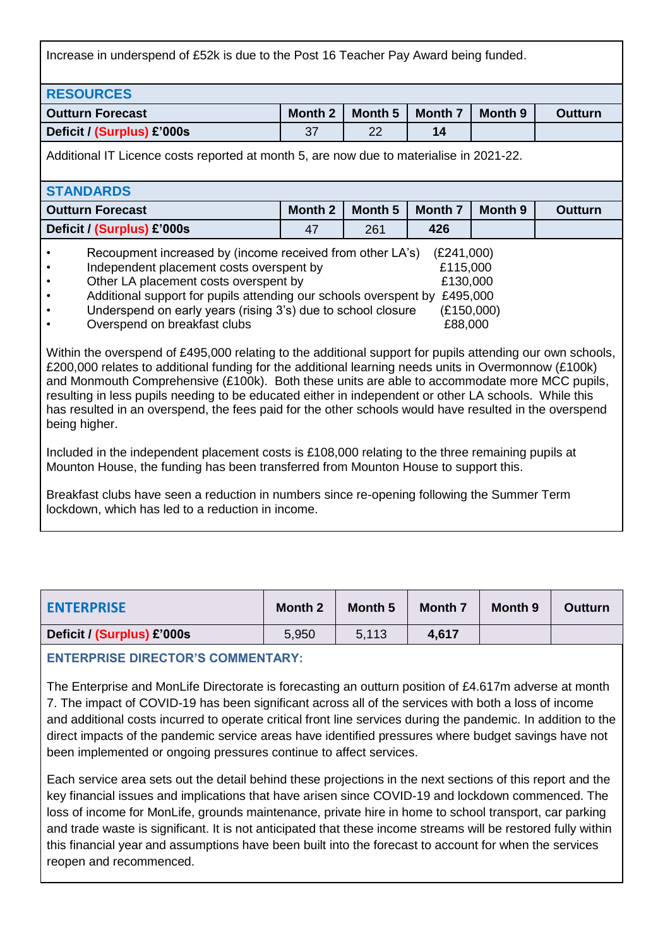Increase in underspend of £52k is due to the Post 16 Teacher Pay Award being funded.

| <b>RESOURCES</b>           |         |         |         |         |                |
|----------------------------|---------|---------|---------|---------|----------------|
| <b>Outturn Forecast</b>    | Month 2 | Month 5 | Month 7 | Month 9 | <b>Outturn</b> |
| Deficit / (Surplus) £'000s | 37      | 22      | 14      |         |                |
|                            |         |         |         |         |                |

Additional IT Licence costs reported at month 5, are now due to materialise in 2021-22.

| <b>STANDARDS</b>                                                                                                                                                                                                                                                                                                   |         |         |                                                                         |         |                |
|--------------------------------------------------------------------------------------------------------------------------------------------------------------------------------------------------------------------------------------------------------------------------------------------------------------------|---------|---------|-------------------------------------------------------------------------|---------|----------------|
| <b>Outturn Forecast</b>                                                                                                                                                                                                                                                                                            | Month 2 | Month 5 | <b>Month 7</b>                                                          | Month 9 | <b>Outturn</b> |
| Deficit / (Surplus) £'000s                                                                                                                                                                                                                                                                                         | 47      | 261     | 426                                                                     |         |                |
| Recoupment increased by (income received from other LA's)<br>Independent placement costs overspent by<br>Other LA placement costs overspent by<br>Additional support for pupils attending our schools overspent by<br>Underspend on early years (rising 3's) due to school closure<br>Overspend on breakfast clubs |         |         | (E241,000)<br>£115,000<br>£130,000<br>£495,000<br>(E150,000)<br>£88,000 |         |                |

Within the overspend of £495,000 relating to the additional support for pupils attending our own schools, £200,000 relates to additional funding for the additional learning needs units in Overmonnow (£100k) and Monmouth Comprehensive (£100k). Both these units are able to accommodate more MCC pupils, resulting in less pupils needing to be educated either in independent or other LA schools. While this has resulted in an overspend, the fees paid for the other schools would have resulted in the overspend being higher.

Included in the independent placement costs is £108,000 relating to the three remaining pupils at Mounton House, the funding has been transferred from Mounton House to support this.

Breakfast clubs have seen a reduction in numbers since re-opening following the Summer Term lockdown, which has led to a reduction in income.

| <b>ENTERPRISE</b>          | Month 2 | Month 5 | <b>Month 7</b> | Month 9 | Outturn |
|----------------------------|---------|---------|----------------|---------|---------|
| Deficit / (Surplus) £'000s | 5.950   | 5,113   | 4,617          |         |         |

### **ENTERPRISE DIRECTOR'S COMMENTARY:**

The Enterprise and MonLife Directorate is forecasting an outturn position of £4.617m adverse at month 7. The impact of COVID-19 has been significant across all of the services with both a loss of income and additional costs incurred to operate critical front line services during the pandemic. In addition to the direct impacts of the pandemic service areas have identified pressures where budget savings have not been implemented or ongoing pressures continue to affect services.

Each service area sets out the detail behind these projections in the next sections of this report and the key financial issues and implications that have arisen since COVID-19 and lockdown commenced. The loss of income for MonLife, grounds maintenance, private hire in home to school transport, car parking and trade waste is significant. It is not anticipated that these income streams will be restored fully within this financial year and assumptions have been built into the forecast to account for when the services reopen and recommenced.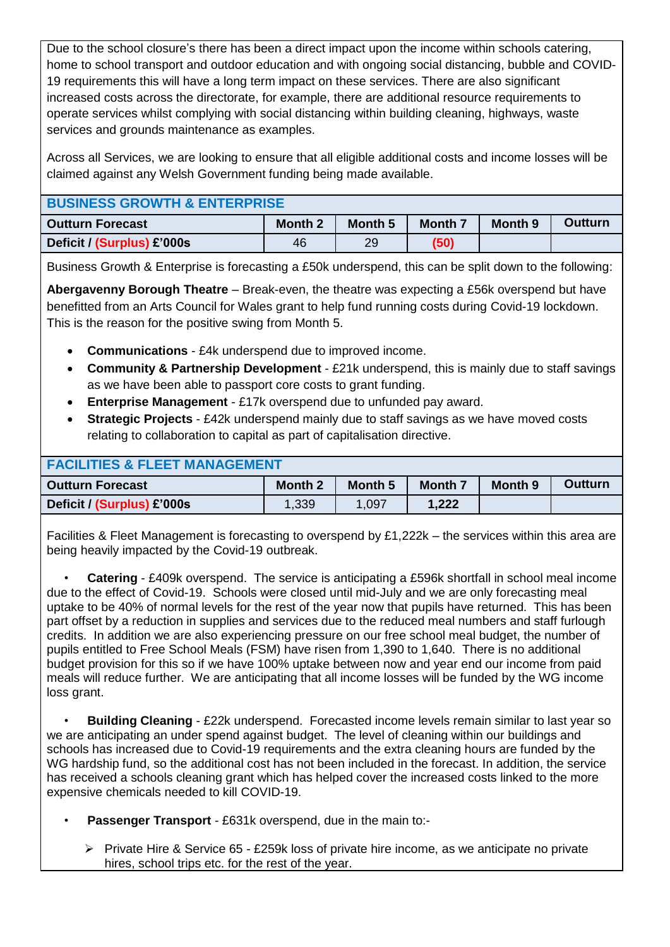Due to the school closure's there has been a direct impact upon the income within schools catering, home to school transport and outdoor education and with ongoing social distancing, bubble and COVID-19 requirements this will have a long term impact on these services. There are also significant increased costs across the directorate, for example, there are additional resource requirements to operate services whilst complying with social distancing within building cleaning, highways, waste services and grounds maintenance as examples.

Across all Services, we are looking to ensure that all eligible additional costs and income losses will be claimed against any Welsh Government funding being made available.

| <b>Outturn Forecast</b>    | <b>Month 2</b> | <b>Month 5</b> | <b>Month 7</b> | Month 9 | Outturn |
|----------------------------|----------------|----------------|----------------|---------|---------|
| Deficit / (Surplus) £'000s | 46             | 29             | (50)           |         |         |

Business Growth & Enterprise is forecasting a £50k underspend, this can be split down to the following:

**Abergavenny Borough Theatre** – Break-even, the theatre was expecting a £56k overspend but have benefitted from an Arts Council for Wales grant to help fund running costs during Covid-19 lockdown. This is the reason for the positive swing from Month 5.

- **Communications**  £4k underspend due to improved income.
- **Community & Partnership Development** £21k underspend, this is mainly due to staff savings as we have been able to passport core costs to grant funding.
- **Enterprise Management** £17k overspend due to unfunded pay award.
- **Strategic Projects** £42k underspend mainly due to staff savings as we have moved costs relating to collaboration to capital as part of capitalisation directive.

| <b>FACILITIES &amp; FLEET MANAGEMENT</b> |                |         |                |         |         |  |  |
|------------------------------------------|----------------|---------|----------------|---------|---------|--|--|
| <b>Outturn Forecast</b>                  | <b>Month 2</b> | Month 5 | <b>Month 7</b> | Month 9 | Outturn |  |  |
| Deficit / (Surplus) £'000s               | 1,339          | 1.097   | 1,222          |         |         |  |  |

Facilities & Fleet Management is forecasting to overspend by £1,222k – the services within this area are being heavily impacted by the Covid-19 outbreak.

• **Catering** - £409k overspend. The service is anticipating a £596k shortfall in school meal income due to the effect of Covid-19. Schools were closed until mid-July and we are only forecasting meal uptake to be 40% of normal levels for the rest of the year now that pupils have returned. This has been part offset by a reduction in supplies and services due to the reduced meal numbers and staff furlough credits. In addition we are also experiencing pressure on our free school meal budget, the number of pupils entitled to Free School Meals (FSM) have risen from 1,390 to 1,640. There is no additional budget provision for this so if we have 100% uptake between now and year end our income from paid meals will reduce further. We are anticipating that all income losses will be funded by the WG income loss grant.

• **Building Cleaning** - £22k underspend. Forecasted income levels remain similar to last year so we are anticipating an under spend against budget. The level of cleaning within our buildings and schools has increased due to Covid-19 requirements and the extra cleaning hours are funded by the WG hardship fund, so the additional cost has not been included in the forecast. In addition, the service has received a schools cleaning grant which has helped cover the increased costs linked to the more expensive chemicals needed to kill COVID-19.

- **Passenger Transport** £631k overspend, due in the main to:-
	- $\triangleright$  Private Hire & Service 65 £259k loss of private hire income, as we anticipate no private hires, school trips etc. for the rest of the year.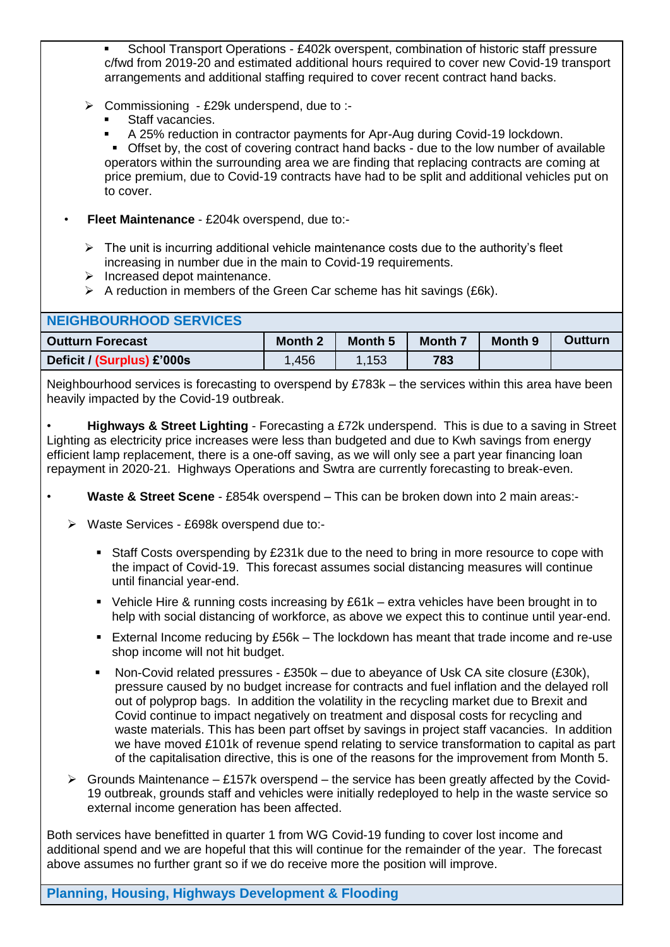School Transport Operations - £402k overspent, combination of historic staff pressure c/fwd from 2019-20 and estimated additional hours required to cover new Covid-19 transport arrangements and additional staffing required to cover recent contract hand backs.

- Commissioning £29k underspend, due to :-
	- **Staff vacancies.**
	- A 25% reduction in contractor payments for Apr-Aug during Covid-19 lockdown.

 Offset by, the cost of covering contract hand backs - due to the low number of available operators within the surrounding area we are finding that replacing contracts are coming at price premium, due to Covid-19 contracts have had to be split and additional vehicles put on to cover.

- **Fleet Maintenance** £204k overspend, due to:-
	- $\triangleright$  The unit is incurring additional vehicle maintenance costs due to the authority's fleet increasing in number due in the main to Covid-19 requirements.
	- $\triangleright$  Increased depot maintenance.
	- $\triangleright$  A reduction in members of the Green Car scheme has hit savings (£6k).

| NEIGHBOURHOOD SERVICES     |                |         |                |         |                |
|----------------------------|----------------|---------|----------------|---------|----------------|
| <b>Outturn Forecast</b>    | <b>Month 2</b> | Month 5 | <b>Month 7</b> | Month 9 | <b>Outturn</b> |
| Deficit / (Surplus) £'000s | 1,456          | 1,153   | 783            |         |                |

Neighbourhood services is forecasting to overspend by £783k – the services within this area have been heavily impacted by the Covid-19 outbreak.

• **Highways & Street Lighting** - Forecasting a £72k underspend. This is due to a saving in Street Lighting as electricity price increases were less than budgeted and due to Kwh savings from energy efficient lamp replacement, there is a one-off saving, as we will only see a part year financing loan repayment in 2020-21. Highways Operations and Swtra are currently forecasting to break-even.

- **Waste & Street Scene** £854k overspend This can be broken down into 2 main areas:-
	- Waste Services £698k overspend due to:-
		- Staff Costs overspending by £231k due to the need to bring in more resource to cope with the impact of Covid-19. This forecast assumes social distancing measures will continue until financial year-end.
		- Vehicle Hire & running costs increasing by £61k extra vehicles have been brought in to help with social distancing of workforce, as above we expect this to continue until year-end.
		- External Income reducing by  $£56k The$  lockdown has meant that trade income and re-use shop income will not hit budget.
		- Non-Covid related pressures £350k due to abeyance of Usk CA site closure (£30k), pressure caused by no budget increase for contracts and fuel inflation and the delayed roll out of polyprop bags. In addition the volatility in the recycling market due to Brexit and Covid continue to impact negatively on treatment and disposal costs for recycling and waste materials. This has been part offset by savings in project staff vacancies. In addition we have moved £101k of revenue spend relating to service transformation to capital as part of the capitalisation directive, this is one of the reasons for the improvement from Month 5.
	- $\triangleright$  Grounds Maintenance £157k overspend the service has been greatly affected by the Covid-19 outbreak, grounds staff and vehicles were initially redeployed to help in the waste service so external income generation has been affected.

Both services have benefitted in quarter 1 from WG Covid-19 funding to cover lost income and additional spend and we are hopeful that this will continue for the remainder of the year. The forecast above assumes no further grant so if we do receive more the position will improve.

### **Planning, Housing, Highways Development & Flooding**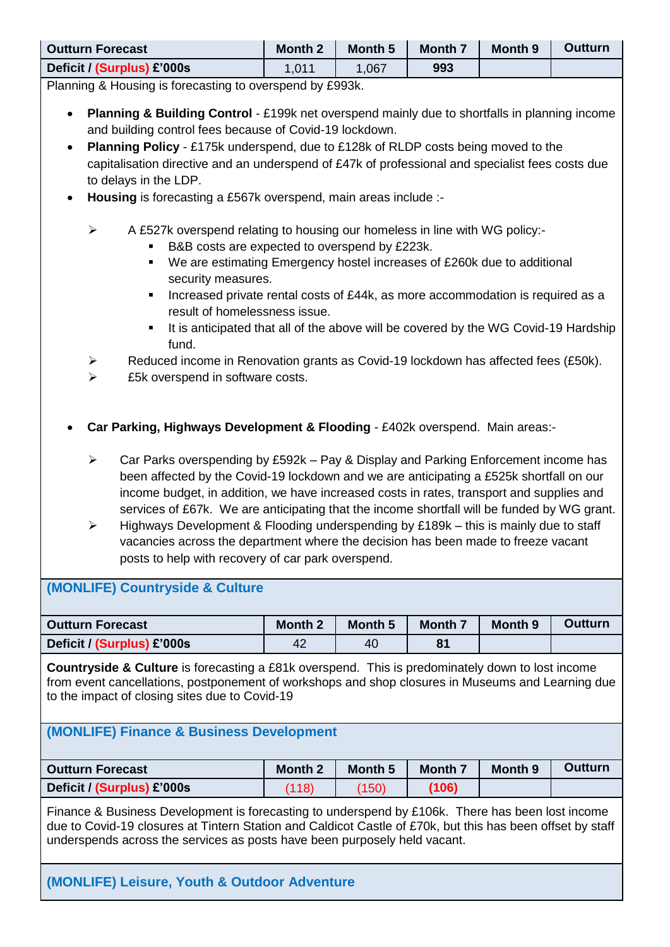| <b>Outturn Forecast</b>    | <b>Month 2</b> | Month 5 | <b>Month 7</b> | Month 9 | Outturn |
|----------------------------|----------------|---------|----------------|---------|---------|
| Deficit / (Surplus) £'000s | 1,011          | .067    | 993            |         |         |

Planning & Housing is forecasting to overspend by £993k.

- **Planning & Building Control** £199k net overspend mainly due to shortfalls in planning income and building control fees because of Covid-19 lockdown.
- **Planning Policy** £175k underspend, due to £128k of RLDP costs being moved to the capitalisation directive and an underspend of £47k of professional and specialist fees costs due to delays in the LDP.
- **Housing** is forecasting a £567k overspend, main areas include :-
	- $\triangleright$  A £527k overspend relating to housing our homeless in line with WG policy:-
		- B&B costs are expected to overspend by £223k.
		- We are estimating Emergency hostel increases of £260k due to additional security measures.
		- Increased private rental costs of £44k, as more accommodation is required as a result of homelessness issue.
		- It is anticipated that all of the above will be covered by the WG Covid-19 Hardship fund.
	- $\triangleright$  Reduced income in Renovation grants as Covid-19 lockdown has affected fees (£50k).
	- $\triangleright$  £5k overspend in software costs.
- **Car Parking, Highways Development & Flooding** £402k overspend. Main areas:-
	- Car Parks overspending by £592k Pay & Display and Parking Enforcement income has been affected by the Covid-19 lockdown and we are anticipating a £525k shortfall on our income budget, in addition, we have increased costs in rates, transport and supplies and services of £67k. We are anticipating that the income shortfall will be funded by WG grant.
	- $\triangleright$  Highways Development & Flooding underspending by £189k this is mainly due to staff vacancies across the department where the decision has been made to freeze vacant posts to help with recovery of car park overspend.

## **(MONLIFE) Countryside & Culture**

| <b>Outturn Forecast</b>    | <b>Month 2</b> | Month 5 | <b>Month 7</b> | Month 9 | <b>Outturn</b> |
|----------------------------|----------------|---------|----------------|---------|----------------|
| Deficit / (Surplus) £'000s | 42             | 40      | 81             |         |                |

**Countryside & Culture** is forecasting a £81k overspend. This is predominately down to lost income from event cancellations, postponement of workshops and shop closures in Museums and Learning due to the impact of closing sites due to Covid-19

## **(MONLIFE) Finance & Business Development**

| <b>Outturn Forecast</b>    | <b>Month 2</b> | Month 5 | Month 7 | <b>Month 9</b> | <b>Outturn</b> |
|----------------------------|----------------|---------|---------|----------------|----------------|
| Deficit / (Surplus) £'000s | (118)          | (150)   | (106)   |                |                |

Finance & Business Development is forecasting to underspend by £106k. There has been lost income due to Covid-19 closures at Tintern Station and Caldicot Castle of £70k, but this has been offset by staff underspends across the services as posts have been purposely held vacant.

## **(MONLIFE) Leisure, Youth & Outdoor Adventure**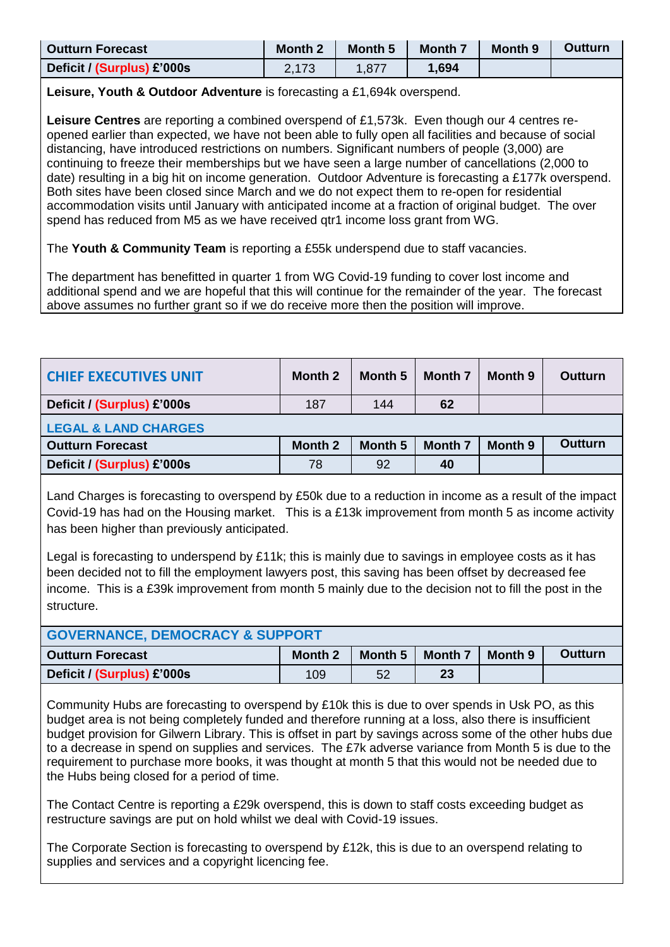| <b>Outturn Forecast</b>    | <b>Month 2</b> | <b>Month 5</b> | <b>Month 7</b> | <b>Month 9</b> | <b>Outturn</b> |
|----------------------------|----------------|----------------|----------------|----------------|----------------|
| Deficit / (Surplus) £'000s | 2,173          | .877           | 1,694          |                |                |

**Leisure, Youth & Outdoor Adventure** is forecasting a £1,694k overspend.

**Leisure Centres** are reporting a combined overspend of £1,573k. Even though our 4 centres reopened earlier than expected, we have not been able to fully open all facilities and because of social distancing, have introduced restrictions on numbers. Significant numbers of people (3,000) are continuing to freeze their memberships but we have seen a large number of cancellations (2,000 to date) resulting in a big hit on income generation. Outdoor Adventure is forecasting a £177k overspend. Both sites have been closed since March and we do not expect them to re-open for residential accommodation visits until January with anticipated income at a fraction of original budget. The over spend has reduced from M5 as we have received qtr1 income loss grant from WG.

The **Youth & Community Team** is reporting a £55k underspend due to staff vacancies.

The department has benefitted in quarter 1 from WG Covid-19 funding to cover lost income and additional spend and we are hopeful that this will continue for the remainder of the year. The forecast above assumes no further grant so if we do receive more then the position will improve.

| <b>CHIEF EXECUTIVES UNIT</b>    | Month 2        | Month 5 | <b>Month 7</b> | Month 9 | Outturn        |
|---------------------------------|----------------|---------|----------------|---------|----------------|
| Deficit / (Surplus) £'000s      | 187            | 144     | 62             |         |                |
| <b>LEGAL &amp; LAND CHARGES</b> |                |         |                |         |                |
| <b>Outturn Forecast</b>         | <b>Month 2</b> | Month 5 | <b>Month 7</b> | Month 9 | <b>Outturn</b> |
| Deficit / (Surplus) £'000s      | 78             | 92      | 40             |         |                |
|                                 |                |         |                |         |                |

Land Charges is forecasting to overspend by £50k due to a reduction in income as a result of the impact Covid-19 has had on the Housing market. This is a £13k improvement from month 5 as income activity has been higher than previously anticipated.

Legal is forecasting to underspend by £11k; this is mainly due to savings in employee costs as it has been decided not to fill the employment lawyers post, this saving has been offset by decreased fee income. This is a £39k improvement from month 5 mainly due to the decision not to fill the post in the structure.

| <b>GOVERNANCE, DEMOCRACY &amp; SUPPORT</b> |         |         |                |         |                |  |
|--------------------------------------------|---------|---------|----------------|---------|----------------|--|
| <b>Outturn Forecast</b>                    | Month 2 | Month 5 | <b>Month 7</b> | Month 9 | <b>Outturn</b> |  |
| Deficit / (Surplus) £'000s                 | 109     | 52      | 23             |         |                |  |

Community Hubs are forecasting to overspend by £10k this is due to over spends in Usk PO, as this budget area is not being completely funded and therefore running at a loss, also there is insufficient budget provision for Gilwern Library. This is offset in part by savings across some of the other hubs due to a decrease in spend on supplies and services. The £7k adverse variance from Month 5 is due to the requirement to purchase more books, it was thought at month 5 that this would not be needed due to the Hubs being closed for a period of time.

The Contact Centre is reporting a £29k overspend, this is down to staff costs exceeding budget as restructure savings are put on hold whilst we deal with Covid-19 issues.

The Corporate Section is forecasting to overspend by £12k, this is due to an overspend relating to supplies and services and a copyright licencing fee.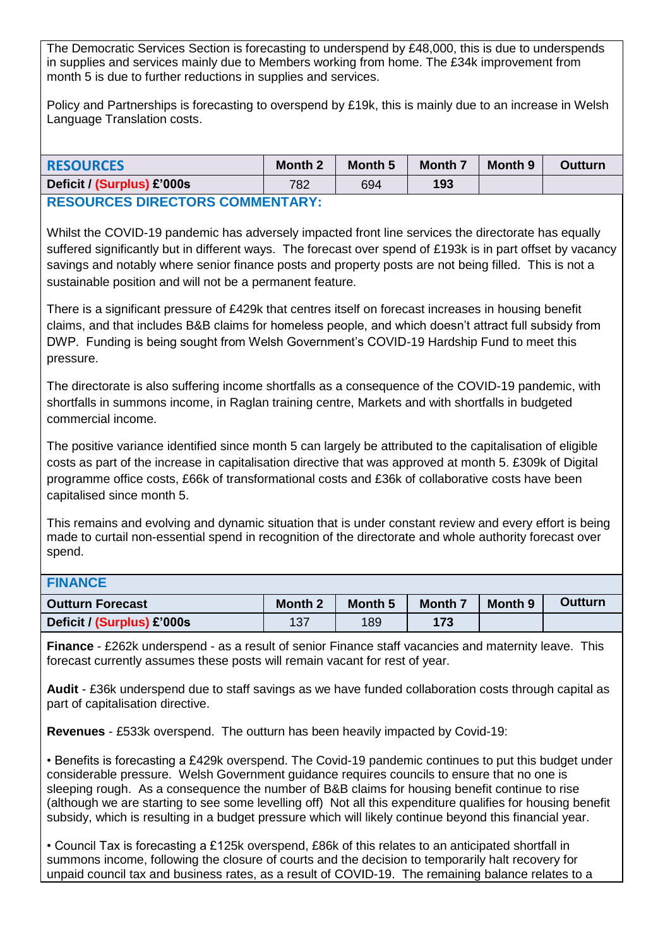The Democratic Services Section is forecasting to underspend by £48,000, this is due to underspends in supplies and services mainly due to Members working from home. The £34k improvement from month 5 is due to further reductions in supplies and services.

Policy and Partnerships is forecasting to overspend by £19k, this is mainly due to an increase in Welsh Language Translation costs.

| <b>RESOURCES</b>                        | <b>Month 2</b> | Month 5 | <b>Month 7</b> | Month 9 | Outturn |  |
|-----------------------------------------|----------------|---------|----------------|---------|---------|--|
| Deficit / (Surplus) £'000s              | 782            | 694     | 193            |         |         |  |
| <b>DESAIIDCES NIDECTADS CAMMENTADY.</b> |                |         |                |         |         |  |

## **URCES DIRECTORS COMMENTARY:**

Whilst the COVID-19 pandemic has adversely impacted front line services the directorate has equally suffered significantly but in different ways. The forecast over spend of £193k is in part offset by vacancy savings and notably where senior finance posts and property posts are not being filled. This is not a sustainable position and will not be a permanent feature.

There is a significant pressure of £429k that centres itself on forecast increases in housing benefit claims, and that includes B&B claims for homeless people, and which doesn't attract full subsidy from DWP. Funding is being sought from Welsh Government's COVID-19 Hardship Fund to meet this pressure.

The directorate is also suffering income shortfalls as a consequence of the COVID-19 pandemic, with shortfalls in summons income, in Raglan training centre, Markets and with shortfalls in budgeted commercial income.

The positive variance identified since month 5 can largely be attributed to the capitalisation of eligible costs as part of the increase in capitalisation directive that was approved at month 5. £309k of Digital programme office costs, £66k of transformational costs and £36k of collaborative costs have been capitalised since month 5.

This remains and evolving and dynamic situation that is under constant review and every effort is being made to curtail non-essential spend in recognition of the directorate and whole authority forecast over spend.

## **FINANCE**

| <b>Outturn Forecast</b>    | <b>Month 2</b> | Month 5 | Month 7 | <b>Month 9</b> | <b>Outturn</b> |
|----------------------------|----------------|---------|---------|----------------|----------------|
| Deficit / (Surplus) £'000s | 137            | 189     | 173     |                |                |

**Finance** - £262k underspend - as a result of senior Finance staff vacancies and maternity leave. This forecast currently assumes these posts will remain vacant for rest of year.

**Audit** - £36k underspend due to staff savings as we have funded collaboration costs through capital as part of capitalisation directive.

**Revenues** - £533k overspend. The outturn has been heavily impacted by Covid-19:

• Benefits is forecasting a £429k overspend. The Covid-19 pandemic continues to put this budget under considerable pressure. Welsh Government guidance requires councils to ensure that no one is sleeping rough. As a consequence the number of B&B claims for housing benefit continue to rise (although we are starting to see some levelling off) Not all this expenditure qualifies for housing benefit subsidy, which is resulting in a budget pressure which will likely continue beyond this financial year.

• Council Tax is forecasting a £125k overspend, £86k of this relates to an anticipated shortfall in summons income, following the closure of courts and the decision to temporarily halt recovery for unpaid council tax and business rates, as a result of COVID-19. The remaining balance relates to a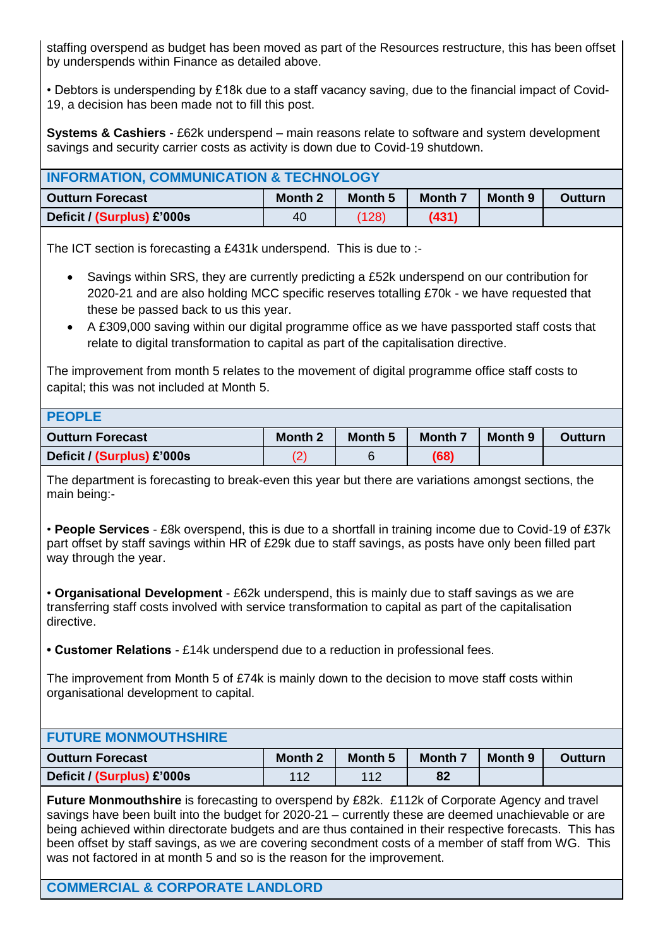staffing overspend as budget has been moved as part of the Resources restructure, this has been offset by underspends within Finance as detailed above.

• Debtors is underspending by £18k due to a staff vacancy saving, due to the financial impact of Covid-19, a decision has been made not to fill this post.

**Systems & Cashiers** - £62k underspend – main reasons relate to software and system development savings and security carrier costs as activity is down due to Covid-19 shutdown.

| <b>INFORMATION, COMMUNICATION &amp; TECHNOLOGY</b> |                |         |         |         |                |
|----------------------------------------------------|----------------|---------|---------|---------|----------------|
| <b>Outturn Forecast</b>                            | <b>Month 2</b> | Month 5 | Month 7 | Month 9 | <b>Outturn</b> |
| Deficit / (Surplus) £'000s                         | 40             | (128)   | (431)   |         |                |

The ICT section is forecasting a £431k underspend. This is due to :-

- Savings within SRS, they are currently predicting a £52k underspend on our contribution for 2020-21 and are also holding MCC specific reserves totalling £70k - we have requested that these be passed back to us this year.
- A £309,000 saving within our digital programme office as we have passported staff costs that relate to digital transformation to capital as part of the capitalisation directive.

The improvement from month 5 relates to the movement of digital programme office staff costs to capital; this was not included at Month 5.

| <b>PEOPLE</b>              |                |         |                |         |                |
|----------------------------|----------------|---------|----------------|---------|----------------|
| <b>Outturn Forecast</b>    | <b>Month 2</b> | Month 5 | <b>Month 7</b> | Month 9 | <b>Outturn</b> |
| Deficit / (Surplus) £'000s |                |         | (68)           |         |                |

The department is forecasting to break-even this year but there are variations amongst sections, the main being:-

• **People Services** - £8k overspend, this is due to a shortfall in training income due to Covid-19 of £37k part offset by staff savings within HR of £29k due to staff savings, as posts have only been filled part way through the year.

• **Organisational Development** - £62k underspend, this is mainly due to staff savings as we are transferring staff costs involved with service transformation to capital as part of the capitalisation directive.

**• Customer Relations** - £14k underspend due to a reduction in professional fees.

The improvement from Month 5 of £74k is mainly down to the decision to move staff costs within organisational development to capital.

| <b>FUTURE MONMOUTHSHIRE</b> |                |         |                |         |                |
|-----------------------------|----------------|---------|----------------|---------|----------------|
| <b>Outturn Forecast</b>     | <b>Month 2</b> | Month 5 | <b>Month 7</b> | Month 9 | <b>Outturn</b> |
| Deficit / (Surplus) £'000s  | 112            | 112     | 82             |         |                |

**Future Monmouthshire** is forecasting to overspend by £82k. £112k of Corporate Agency and travel savings have been built into the budget for 2020-21 – currently these are deemed unachievable or are being achieved within directorate budgets and are thus contained in their respective forecasts. This has been offset by staff savings, as we are covering secondment costs of a member of staff from WG. This was not factored in at month 5 and so is the reason for the improvement.

**COMMERCIAL & CORPORATE LANDLORD**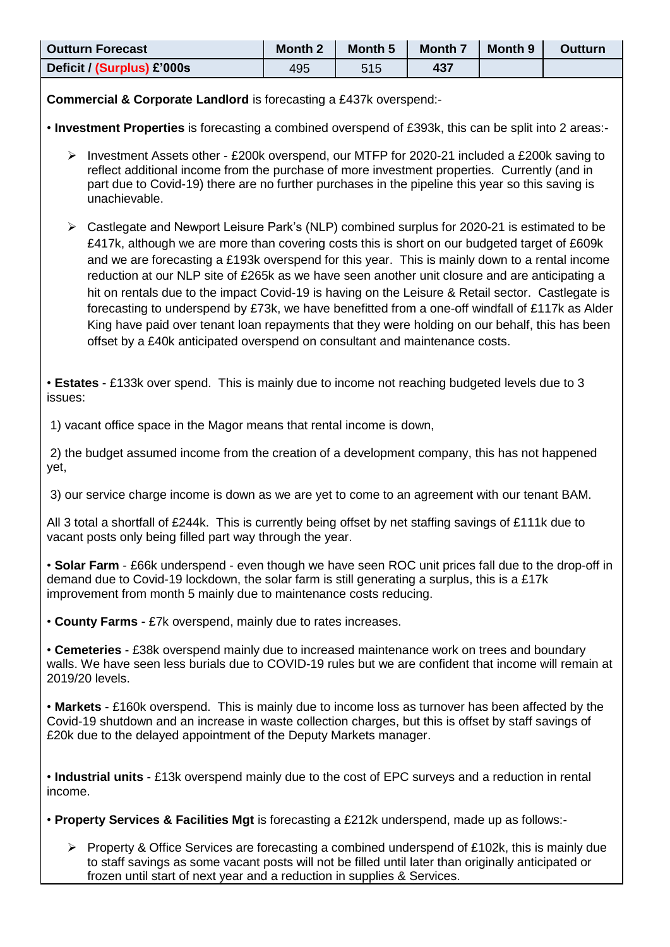| <b>Outturn Forecast</b>                                                                                                                                                                                                                                                                                                                                                                                                                                                                                                                                                                                                                                                                                                                                                                        | <b>Month 2</b> | Month 5 | Month 7 | Month 9 | <b>Outturn</b> |
|------------------------------------------------------------------------------------------------------------------------------------------------------------------------------------------------------------------------------------------------------------------------------------------------------------------------------------------------------------------------------------------------------------------------------------------------------------------------------------------------------------------------------------------------------------------------------------------------------------------------------------------------------------------------------------------------------------------------------------------------------------------------------------------------|----------------|---------|---------|---------|----------------|
| Deficit / (Surplus) £'000s                                                                                                                                                                                                                                                                                                                                                                                                                                                                                                                                                                                                                                                                                                                                                                     | 495            | 515     | 437     |         |                |
| <b>Commercial &amp; Corporate Landlord is forecasting a £437k overspend:-</b>                                                                                                                                                                                                                                                                                                                                                                                                                                                                                                                                                                                                                                                                                                                  |                |         |         |         |                |
| . Investment Properties is forecasting a combined overspend of £393k, this can be split into 2 areas:-                                                                                                                                                                                                                                                                                                                                                                                                                                                                                                                                                                                                                                                                                         |                |         |         |         |                |
| Investment Assets other - £200k overspend, our MTFP for 2020-21 included a £200k saving to<br>≻<br>reflect additional income from the purchase of more investment properties. Currently (and in<br>part due to Covid-19) there are no further purchases in the pipeline this year so this saving is<br>unachievable.                                                                                                                                                                                                                                                                                                                                                                                                                                                                           |                |         |         |         |                |
| Castlegate and Newport Leisure Park's (NLP) combined surplus for 2020-21 is estimated to be<br>➤<br>£417k, although we are more than covering costs this is short on our budgeted target of £609k<br>and we are forecasting a £193k overspend for this year. This is mainly down to a rental income<br>reduction at our NLP site of £265k as we have seen another unit closure and are anticipating a<br>hit on rentals due to the impact Covid-19 is having on the Leisure & Retail sector. Castlegate is<br>forecasting to underspend by £73k, we have benefitted from a one-off windfall of £117k as Alder<br>King have paid over tenant loan repayments that they were holding on our behalf, this has been<br>offset by a £40k anticipated overspend on consultant and maintenance costs. |                |         |         |         |                |
| • Estates - £133k over spend. This is mainly due to income not reaching budgeted levels due to 3<br>issues:                                                                                                                                                                                                                                                                                                                                                                                                                                                                                                                                                                                                                                                                                    |                |         |         |         |                |
| 1) vacant office space in the Magor means that rental income is down,                                                                                                                                                                                                                                                                                                                                                                                                                                                                                                                                                                                                                                                                                                                          |                |         |         |         |                |
| 2) the budget assumed income from the creation of a development company, this has not happened<br>yet,                                                                                                                                                                                                                                                                                                                                                                                                                                                                                                                                                                                                                                                                                         |                |         |         |         |                |
| 3) our service charge income is down as we are yet to come to an agreement with our tenant BAM.                                                                                                                                                                                                                                                                                                                                                                                                                                                                                                                                                                                                                                                                                                |                |         |         |         |                |
| All 3 total a shortfall of £244k. This is currently being offset by net staffing savings of £111k due to<br>vacant posts only being filled part way through the year.                                                                                                                                                                                                                                                                                                                                                                                                                                                                                                                                                                                                                          |                |         |         |         |                |
| • Solar Farm - £66k underspend - even though we have seen ROC unit prices fall due to the drop-off in<br>demand due to Covid-19 lockdown, the solar farm is still generating a surplus, this is a £17k<br>improvement from month 5 mainly due to maintenance costs reducing.                                                                                                                                                                                                                                                                                                                                                                                                                                                                                                                   |                |         |         |         |                |
| • County Farms - £7k overspend, mainly due to rates increases.                                                                                                                                                                                                                                                                                                                                                                                                                                                                                                                                                                                                                                                                                                                                 |                |         |         |         |                |
| • Cemeteries - £38k overspend mainly due to increased maintenance work on trees and boundary<br>walls. We have seen less burials due to COVID-19 rules but we are confident that income will remain at<br>2019/20 levels.                                                                                                                                                                                                                                                                                                                                                                                                                                                                                                                                                                      |                |         |         |         |                |
| • Markets - £160k overspend. This is mainly due to income loss as turnover has been affected by the<br>Covid-19 shutdown and an increase in waste collection charges, but this is offset by staff savings of<br>£20k due to the delayed appointment of the Deputy Markets manager.                                                                                                                                                                                                                                                                                                                                                                                                                                                                                                             |                |         |         |         |                |
| • Industrial units - £13k overspend mainly due to the cost of EPC surveys and a reduction in rental<br>income.                                                                                                                                                                                                                                                                                                                                                                                                                                                                                                                                                                                                                                                                                 |                |         |         |         |                |
| • Property Services & Facilities Mgt is forecasting a £212k underspend, made up as follows:-                                                                                                                                                                                                                                                                                                                                                                                                                                                                                                                                                                                                                                                                                                   |                |         |         |         |                |

 $\triangleright$  Property & Office Services are forecasting a combined underspend of £102k, this is mainly due to staff savings as some vacant posts will not be filled until later than originally anticipated or frozen until start of next year and a reduction in supplies & Services.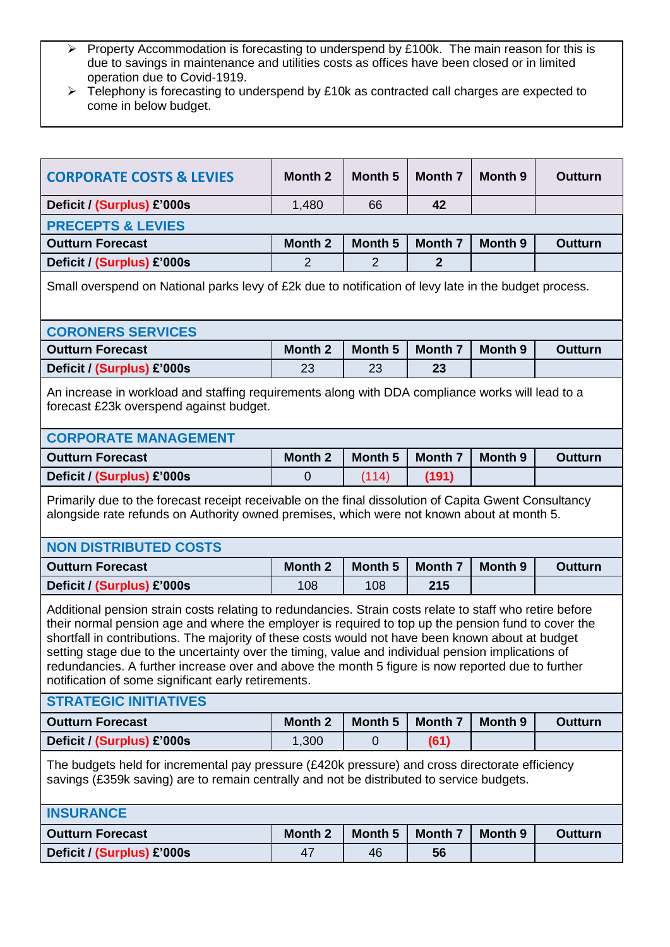- Property Accommodation is forecasting to underspend by £100k. The main reason for this is due to savings in maintenance and utilities costs as offices have been closed or in limited operation due to Covid-1919.
- $\triangleright$  Telephony is forecasting to underspend by £10k as contracted call charges are expected to come in below budget.

| <b>CORPORATE COSTS &amp; LEVIES</b>                                                                                                                                                                                                                                                                                                                                                                                                                                                                                                                                                    | <b>Month 2</b> | <b>Month 5</b>     | <b>Month 7</b> | <b>Month 9</b> | <b>Outturn</b> |
|----------------------------------------------------------------------------------------------------------------------------------------------------------------------------------------------------------------------------------------------------------------------------------------------------------------------------------------------------------------------------------------------------------------------------------------------------------------------------------------------------------------------------------------------------------------------------------------|----------------|--------------------|----------------|----------------|----------------|
| Deficit / (Surplus) £'000s                                                                                                                                                                                                                                                                                                                                                                                                                                                                                                                                                             | 1,480          | 66                 | 42             |                |                |
| <b>PRECEPTS &amp; LEVIES</b>                                                                                                                                                                                                                                                                                                                                                                                                                                                                                                                                                           |                |                    |                |                |                |
| <b>Outturn Forecast</b>                                                                                                                                                                                                                                                                                                                                                                                                                                                                                                                                                                | Month 2        | <b>Month 5</b>     | <b>Month 7</b> | Month 9        | <b>Outturn</b> |
| Deficit / (Surplus) £'000s                                                                                                                                                                                                                                                                                                                                                                                                                                                                                                                                                             | $\overline{2}$ | $\overline{2}$     | $\overline{2}$ |                |                |
| Small overspend on National parks levy of £2k due to notification of levy late in the budget process.                                                                                                                                                                                                                                                                                                                                                                                                                                                                                  |                |                    |                |                |                |
| <b>CORONERS SERVICES</b>                                                                                                                                                                                                                                                                                                                                                                                                                                                                                                                                                               |                |                    |                |                |                |
| <b>Outturn Forecast</b>                                                                                                                                                                                                                                                                                                                                                                                                                                                                                                                                                                | Month 2        | Month <sub>5</sub> | <b>Month 7</b> | Month 9        | <b>Outturn</b> |
| Deficit / (Surplus) £'000s                                                                                                                                                                                                                                                                                                                                                                                                                                                                                                                                                             | 23             | 23                 | 23             |                |                |
| An increase in workload and staffing requirements along with DDA compliance works will lead to a<br>forecast £23k overspend against budget.                                                                                                                                                                                                                                                                                                                                                                                                                                            |                |                    |                |                |                |
| <b>CORPORATE MANAGEMENT</b>                                                                                                                                                                                                                                                                                                                                                                                                                                                                                                                                                            |                |                    |                |                |                |
| <b>Outturn Forecast</b>                                                                                                                                                                                                                                                                                                                                                                                                                                                                                                                                                                | Month 2        | Month <sub>5</sub> | <b>Month 7</b> | Month 9        | <b>Outturn</b> |
| Deficit / (Surplus) £'000s                                                                                                                                                                                                                                                                                                                                                                                                                                                                                                                                                             | $\mathbf 0$    | (114)              | (191)          |                |                |
| Primarily due to the forecast receipt receivable on the final dissolution of Capita Gwent Consultancy<br>alongside rate refunds on Authority owned premises, which were not known about at month 5.                                                                                                                                                                                                                                                                                                                                                                                    |                |                    |                |                |                |
| <b>NON DISTRIBUTED COSTS</b>                                                                                                                                                                                                                                                                                                                                                                                                                                                                                                                                                           |                |                    |                |                |                |
| <b>Outturn Forecast</b>                                                                                                                                                                                                                                                                                                                                                                                                                                                                                                                                                                | <b>Month 2</b> | Month <sub>5</sub> | <b>Month 7</b> | <b>Month 9</b> | <b>Outturn</b> |
| Deficit / (Surplus) £'000s                                                                                                                                                                                                                                                                                                                                                                                                                                                                                                                                                             | 108            | 108                | 215            |                |                |
| Additional pension strain costs relating to redundancies. Strain costs relate to staff who retire before<br>their normal pension age and where the employer is required to top up the pension fund to cover the<br>shortfall in contributions. The majority of these costs would not have been known about at budget<br>setting stage due to the uncertainty over the timing, value and individual pension implications of<br>redundancies. A further increase over and above the month 5 figure is now reported due to further<br>notification of some significant early retirements. |                |                    |                |                |                |
| <b>STRATEGIC INITIATIVES</b>                                                                                                                                                                                                                                                                                                                                                                                                                                                                                                                                                           |                |                    |                |                |                |
| <b>Outturn Forecast</b>                                                                                                                                                                                                                                                                                                                                                                                                                                                                                                                                                                | Month 2        | <b>Month 5</b>     | <b>Month 7</b> | Month 9        | <b>Outturn</b> |
| Deficit / (Surplus) £'000s                                                                                                                                                                                                                                                                                                                                                                                                                                                                                                                                                             | 1,300          | $\overline{0}$     | (61)           |                |                |
| The budgets held for incremental pay pressure (£420k pressure) and cross directorate efficiency<br>savings (£359k saving) are to remain centrally and not be distributed to service budgets.                                                                                                                                                                                                                                                                                                                                                                                           |                |                    |                |                |                |
| <b>INSURANCE</b>                                                                                                                                                                                                                                                                                                                                                                                                                                                                                                                                                                       |                |                    |                |                |                |
|                                                                                                                                                                                                                                                                                                                                                                                                                                                                                                                                                                                        |                |                    |                |                |                |
| <b>Outturn Forecast</b>                                                                                                                                                                                                                                                                                                                                                                                                                                                                                                                                                                | <b>Month 2</b> | <b>Month 5</b>     | <b>Month 7</b> | <b>Month 9</b> | <b>Outturn</b> |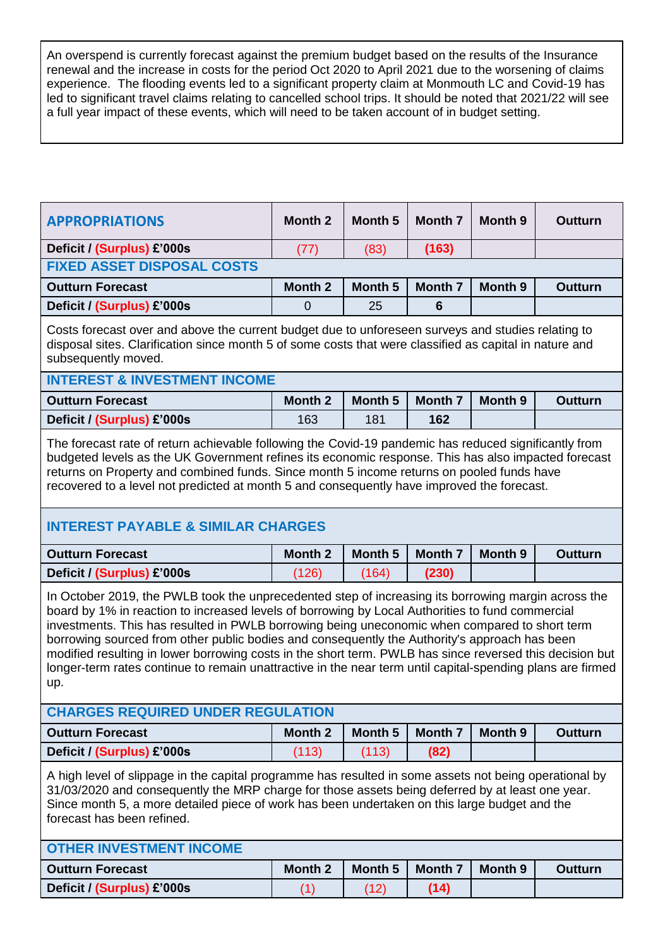An overspend is currently forecast against the premium budget based on the results of the Insurance renewal and the increase in costs for the period Oct 2020 to April 2021 due to the worsening of claims experience. The flooding events led to a significant property claim at Monmouth LC and Covid-19 has led to significant travel claims relating to cancelled school trips. It should be noted that 2021/22 will see a full year impact of these events, which will need to be taken account of in budget setting.

| <b>APPROPRIATIONS</b>                                                                                                                                                                                                                                                                                                                                                                                                                                                                                                                                                                                                                      | <b>Month 2</b> | <b>Month 5</b>     | <b>Month 7</b> | <b>Month 9</b>     | Outturn        |  |  |
|--------------------------------------------------------------------------------------------------------------------------------------------------------------------------------------------------------------------------------------------------------------------------------------------------------------------------------------------------------------------------------------------------------------------------------------------------------------------------------------------------------------------------------------------------------------------------------------------------------------------------------------------|----------------|--------------------|----------------|--------------------|----------------|--|--|
| Deficit / (Surplus) £'000s                                                                                                                                                                                                                                                                                                                                                                                                                                                                                                                                                                                                                 | (77)           | (83)               | (163)          |                    |                |  |  |
| <b>FIXED ASSET DISPOSAL COSTS</b>                                                                                                                                                                                                                                                                                                                                                                                                                                                                                                                                                                                                          |                |                    |                |                    |                |  |  |
| <b>Outturn Forecast</b>                                                                                                                                                                                                                                                                                                                                                                                                                                                                                                                                                                                                                    | <b>Month 2</b> | Month <sub>5</sub> | <b>Month 7</b> | Month 9            | <b>Outturn</b> |  |  |
| Deficit / (Surplus) £'000s                                                                                                                                                                                                                                                                                                                                                                                                                                                                                                                                                                                                                 | $\overline{0}$ | 25                 | 6              |                    |                |  |  |
| Costs forecast over and above the current budget due to unforeseen surveys and studies relating to<br>disposal sites. Clarification since month 5 of some costs that were classified as capital in nature and<br>subsequently moved.                                                                                                                                                                                                                                                                                                                                                                                                       |                |                    |                |                    |                |  |  |
| <b>INTEREST &amp; INVESTMENT INCOME</b>                                                                                                                                                                                                                                                                                                                                                                                                                                                                                                                                                                                                    |                |                    |                |                    |                |  |  |
| <b>Outturn Forecast</b>                                                                                                                                                                                                                                                                                                                                                                                                                                                                                                                                                                                                                    | Month 2        | Month <sub>5</sub> | <b>Month 7</b> | Month 9            | <b>Outturn</b> |  |  |
| Deficit / (Surplus) £'000s                                                                                                                                                                                                                                                                                                                                                                                                                                                                                                                                                                                                                 | 163            | 181                | 162            |                    |                |  |  |
| The forecast rate of return achievable following the Covid-19 pandemic has reduced significantly from<br>budgeted levels as the UK Government refines its economic response. This has also impacted forecast<br>returns on Property and combined funds. Since month 5 income returns on pooled funds have<br>recovered to a level not predicted at month 5 and consequently have improved the forecast.                                                                                                                                                                                                                                    |                |                    |                |                    |                |  |  |
| <b>INTEREST PAYABLE &amp; SIMILAR CHARGES</b>                                                                                                                                                                                                                                                                                                                                                                                                                                                                                                                                                                                              |                |                    |                |                    |                |  |  |
| <b>Outturn Forecast</b>                                                                                                                                                                                                                                                                                                                                                                                                                                                                                                                                                                                                                    | <b>Month 2</b> | <b>Month 5</b>     | <b>Month 7</b> | Month <sub>9</sub> | <b>Outturn</b> |  |  |
| Deficit / (Surplus) £'000s                                                                                                                                                                                                                                                                                                                                                                                                                                                                                                                                                                                                                 | (126)          | (164)              | (230)          |                    |                |  |  |
| In October 2019, the PWLB took the unprecedented step of increasing its borrowing margin across the<br>board by 1% in reaction to increased levels of borrowing by Local Authorities to fund commercial<br>investments. This has resulted in PWLB borrowing being uneconomic when compared to short term<br>borrowing sourced from other public bodies and consequently the Authority's approach has been<br>modified resulting in lower borrowing costs in the short term. PWLB has since reversed this decision but<br>longer-term rates continue to remain unattractive in the near term until capital-spending plans are firmed<br>up. |                |                    |                |                    |                |  |  |
| <b>CHARGES REQUIRED UNDER REGULATION</b>                                                                                                                                                                                                                                                                                                                                                                                                                                                                                                                                                                                                   |                |                    |                |                    |                |  |  |
| <b>Outturn Forecast</b>                                                                                                                                                                                                                                                                                                                                                                                                                                                                                                                                                                                                                    | <b>Month 2</b> | Month <sub>5</sub> | <b>Month 7</b> | Month 9            | <b>Outturn</b> |  |  |
| Deficit / (Surplus) £'000s                                                                                                                                                                                                                                                                                                                                                                                                                                                                                                                                                                                                                 | (113)          | (113)              | (82)           |                    |                |  |  |
| A high level of slippage in the capital programme has resulted in some assets not being operational by<br>31/03/2020 and consequently the MRP charge for those assets being deferred by at least one year.<br>Since month 5, a more detailed piece of work has been undertaken on this large budget and the<br>forecast has been refined.                                                                                                                                                                                                                                                                                                  |                |                    |                |                    |                |  |  |
| <b>OTHER INVESTMENT INCOME</b>                                                                                                                                                                                                                                                                                                                                                                                                                                                                                                                                                                                                             |                |                    |                |                    |                |  |  |
| <b>Outturn Forecast</b>                                                                                                                                                                                                                                                                                                                                                                                                                                                                                                                                                                                                                    | <b>Month 2</b> | Month <sub>5</sub> | <b>Month 7</b> | Month 9            | <b>Outturn</b> |  |  |
| Deficit / (Surplus) £'000s                                                                                                                                                                                                                                                                                                                                                                                                                                                                                                                                                                                                                 | (1)            | (12)               | (14)           |                    |                |  |  |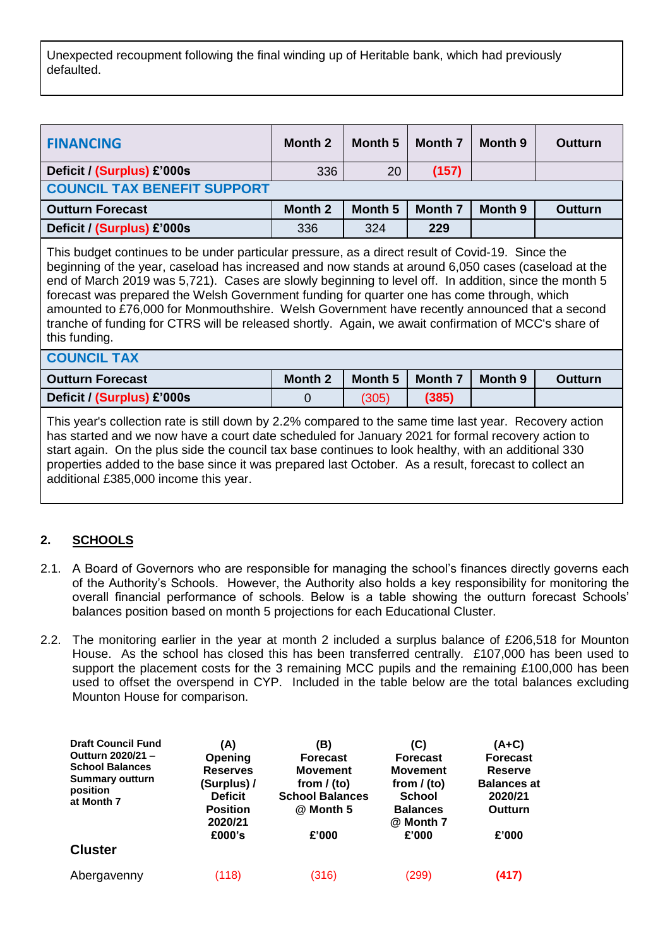Unexpected recoupment following the final winding up of Heritable bank, which had previously defaulted.

| <b>FINANCING</b>                                                                                                                                                                                                                                                                                                                                                                                                                                                                                                                                                                                                                         | <b>Month 2</b> | Month <sub>5</sub> | <b>Month 7</b> | Month 9 | <b>Outturn</b> |
|------------------------------------------------------------------------------------------------------------------------------------------------------------------------------------------------------------------------------------------------------------------------------------------------------------------------------------------------------------------------------------------------------------------------------------------------------------------------------------------------------------------------------------------------------------------------------------------------------------------------------------------|----------------|--------------------|----------------|---------|----------------|
| Deficit / (Surplus) £'000s                                                                                                                                                                                                                                                                                                                                                                                                                                                                                                                                                                                                               | 336            | 20                 | (157)          |         |                |
| <b>COUNCIL TAX BENEFIT SUPPORT</b>                                                                                                                                                                                                                                                                                                                                                                                                                                                                                                                                                                                                       |                |                    |                |         |                |
| <b>Outturn Forecast</b>                                                                                                                                                                                                                                                                                                                                                                                                                                                                                                                                                                                                                  | Month 2        | Month 5            | Month 7        | Month 9 | <b>Outturn</b> |
| Deficit / (Surplus) £'000s                                                                                                                                                                                                                                                                                                                                                                                                                                                                                                                                                                                                               | 336            | 324                | 229            |         |                |
| This budget continues to be under particular pressure, as a direct result of Covid-19. Since the<br>beginning of the year, caseload has increased and now stands at around 6,050 cases (caseload at the<br>end of March 2019 was 5,721). Cases are slowly beginning to level off. In addition, since the month 5<br>forecast was prepared the Welsh Government funding for quarter one has come through, which<br>amounted to £76,000 for Monmouthshire. Welsh Government have recently announced that a second<br>tranche of funding for CTRS will be released shortly. Again, we await confirmation of MCC's share of<br>this funding. |                |                    |                |         |                |
| <b>COUNCIL TAX</b>                                                                                                                                                                                                                                                                                                                                                                                                                                                                                                                                                                                                                       |                |                    |                |         |                |
| <b>Outturn Forecast</b>                                                                                                                                                                                                                                                                                                                                                                                                                                                                                                                                                                                                                  | Month 2        | Month <sub>5</sub> | Month 7        | Month 9 | <b>Outturn</b> |
| Deficit / (Surplus) £'000s                                                                                                                                                                                                                                                                                                                                                                                                                                                                                                                                                                                                               | 0              | (305)              | (385)          |         |                |
| This year's collection rate is still down by 2.2% compared to the same time last year. Recovery action<br>has started and we now have a court date scheduled for January 2021 for formal recovery action to<br>start again. On the plus side the council tax base continues to look healthy, with an additional 330<br>properties added to the base since it was prepared last October. As a result, forecast to collect an<br>additional £385,000 income this year.                                                                                                                                                                     |                |                    |                |         |                |

## **2. SCHOOLS**

- 2.1. A Board of Governors who are responsible for managing the school's finances directly governs each of the Authority's Schools. However, the Authority also holds a key responsibility for monitoring the overall financial performance of schools. Below is a table showing the outturn forecast Schools' balances position based on month 5 projections for each Educational Cluster.
- 2.2. The monitoring earlier in the year at month 2 included a surplus balance of £206,518 for Mounton House. As the school has closed this has been transferred centrally. £107,000 has been used to support the placement costs for the 3 remaining MCC pupils and the remaining £100,000 has been used to offset the overspend in CYP. Included in the table below are the total balances excluding Mounton House for comparison.

| <b>Draft Council Fund</b><br>Outturn 2020/21-<br><b>School Balances</b><br><b>Summary outturn</b><br>position<br>at Month 7 | (A)<br>Opening<br><b>Reserves</b><br>(Surplus) /<br><b>Deficit</b><br><b>Position</b><br>2020/21<br>£000's | (B)<br><b>Forecast</b><br><b>Movement</b><br>from $/$ (to)<br><b>School Balances</b><br>@ Month 5<br>£'000 | (C)<br><b>Forecast</b><br><b>Movement</b><br>from $/$ (to)<br><b>School</b><br><b>Balances</b><br>@ Month 7<br>£'000 | $(A+C)$<br><b>Forecast</b><br><b>Reserve</b><br><b>Balances at</b><br>2020/21<br>Outturn<br>£'000 |
|-----------------------------------------------------------------------------------------------------------------------------|------------------------------------------------------------------------------------------------------------|------------------------------------------------------------------------------------------------------------|----------------------------------------------------------------------------------------------------------------------|---------------------------------------------------------------------------------------------------|
| <b>Cluster</b>                                                                                                              |                                                                                                            |                                                                                                            |                                                                                                                      |                                                                                                   |
| Abergavenny                                                                                                                 | (118)                                                                                                      | (316)                                                                                                      | (299)                                                                                                                | (417)                                                                                             |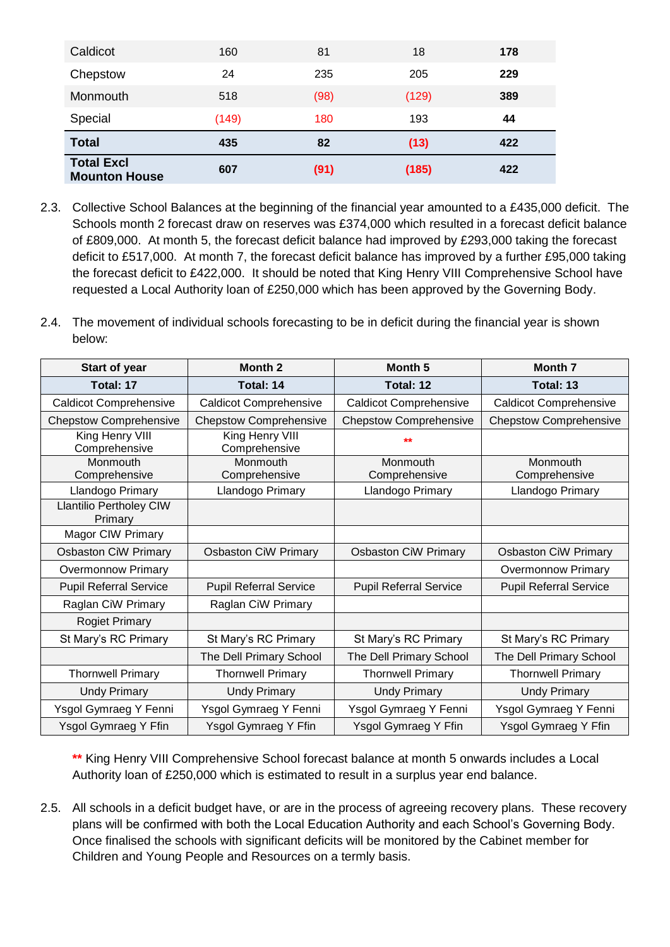| Caldicot                                  | 160   | 81   | 18    | 178 |
|-------------------------------------------|-------|------|-------|-----|
| Chepstow                                  | 24    | 235  | 205   | 229 |
| Monmouth                                  | 518   | (98) | (129) | 389 |
| Special                                   | (149) | 180  | 193   | 44  |
| <b>Total</b>                              | 435   | 82   | (13)  | 422 |
| <b>Total Excl</b><br><b>Mounton House</b> | 607   | (91) | (185) | 422 |

- 2.3. Collective School Balances at the beginning of the financial year amounted to a £435,000 deficit. The Schools month 2 forecast draw on reserves was £374,000 which resulted in a forecast deficit balance of £809,000. At month 5, the forecast deficit balance had improved by £293,000 taking the forecast deficit to £517,000. At month 7, the forecast deficit balance has improved by a further £95,000 taking the forecast deficit to £422,000. It should be noted that King Henry VIII Comprehensive School have requested a Local Authority loan of £250,000 which has been approved by the Governing Body.
- 2.4. The movement of individual schools forecasting to be in deficit during the financial year is shown below:

| Start of year                             | Month <sub>2</sub>               | Month <sub>5</sub>            | <b>Month 7</b>                |
|-------------------------------------------|----------------------------------|-------------------------------|-------------------------------|
| Total: 17                                 | Total: 14                        | Total: 12                     | Total: 13                     |
| <b>Caldicot Comprehensive</b>             | <b>Caldicot Comprehensive</b>    | <b>Caldicot Comprehensive</b> | <b>Caldicot Comprehensive</b> |
| <b>Chepstow Comprehensive</b>             | <b>Chepstow Comprehensive</b>    | <b>Chepstow Comprehensive</b> | <b>Chepstow Comprehensive</b> |
| King Henry VIII<br>Comprehensive          | King Henry VIII<br>Comprehensive | $**$                          |                               |
| Monmouth<br>Comprehensive                 | Monmouth<br>Comprehensive        | Monmouth<br>Comprehensive     | Monmouth<br>Comprehensive     |
| Llandogo Primary                          | Llandogo Primary                 | Llandogo Primary              | Llandogo Primary              |
| <b>Llantilio Pertholey CIW</b><br>Primary |                                  |                               |                               |
| Magor CIW Primary                         |                                  |                               |                               |
| <b>Osbaston CiW Primary</b>               | <b>Osbaston CiW Primary</b>      | <b>Osbaston CiW Primary</b>   | <b>Osbaston CiW Primary</b>   |
| <b>Overmonnow Primary</b>                 |                                  |                               | <b>Overmonnow Primary</b>     |
| <b>Pupil Referral Service</b>             | <b>Pupil Referral Service</b>    | <b>Pupil Referral Service</b> | <b>Pupil Referral Service</b> |
| Raglan CiW Primary                        | Raglan CiW Primary               |                               |                               |
| <b>Rogiet Primary</b>                     |                                  |                               |                               |
| St Mary's RC Primary                      | St Mary's RC Primary             | St Mary's RC Primary          | St Mary's RC Primary          |
|                                           | The Dell Primary School          | The Dell Primary School       | The Dell Primary School       |
| <b>Thornwell Primary</b>                  | <b>Thornwell Primary</b>         | <b>Thornwell Primary</b>      | <b>Thornwell Primary</b>      |
| <b>Undy Primary</b>                       | <b>Undy Primary</b>              | <b>Undy Primary</b>           | <b>Undy Primary</b>           |
| Ysgol Gymraeg Y Fenni                     | Ysgol Gymraeg Y Fenni            | Ysgol Gymraeg Y Fenni         | Ysgol Gymraeg Y Fenni         |
| Ysgol Gymraeg Y Ffin                      | Ysgol Gymraeg Y Ffin             | Ysgol Gymraeg Y Ffin          | Ysgol Gymraeg Y Ffin          |

**\*\*** King Henry VIII Comprehensive School forecast balance at month 5 onwards includes a Local Authority loan of £250,000 which is estimated to result in a surplus year end balance.

2.5. All schools in a deficit budget have, or are in the process of agreeing recovery plans. These recovery plans will be confirmed with both the Local Education Authority and each School's Governing Body. Once finalised the schools with significant deficits will be monitored by the Cabinet member for Children and Young People and Resources on a termly basis.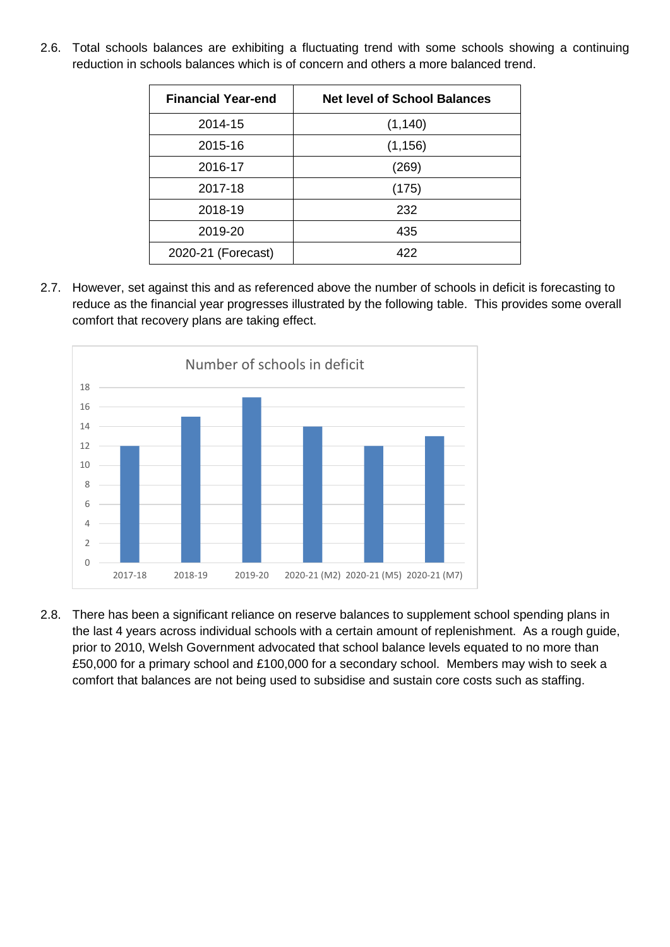2.6. Total schools balances are exhibiting a fluctuating trend with some schools showing a continuing reduction in schools balances which is of concern and others a more balanced trend.

| <b>Financial Year-end</b> | <b>Net level of School Balances</b> |
|---------------------------|-------------------------------------|
| 2014-15                   | (1, 140)                            |
| 2015-16                   | (1, 156)                            |
| 2016-17                   | (269)                               |
| 2017-18                   | (175)                               |
| 2018-19                   | 232                                 |
| 2019-20                   | 435                                 |
| 2020-21 (Forecast)        | 422                                 |

2.7. However, set against this and as referenced above the number of schools in deficit is forecasting to reduce as the financial year progresses illustrated by the following table. This provides some overall comfort that recovery plans are taking effect.



2.8. There has been a significant reliance on reserve balances to supplement school spending plans in the last 4 years across individual schools with a certain amount of replenishment. As a rough guide, prior to 2010, Welsh Government advocated that school balance levels equated to no more than £50,000 for a primary school and £100,000 for a secondary school. Members may wish to seek a comfort that balances are not being used to subsidise and sustain core costs such as staffing.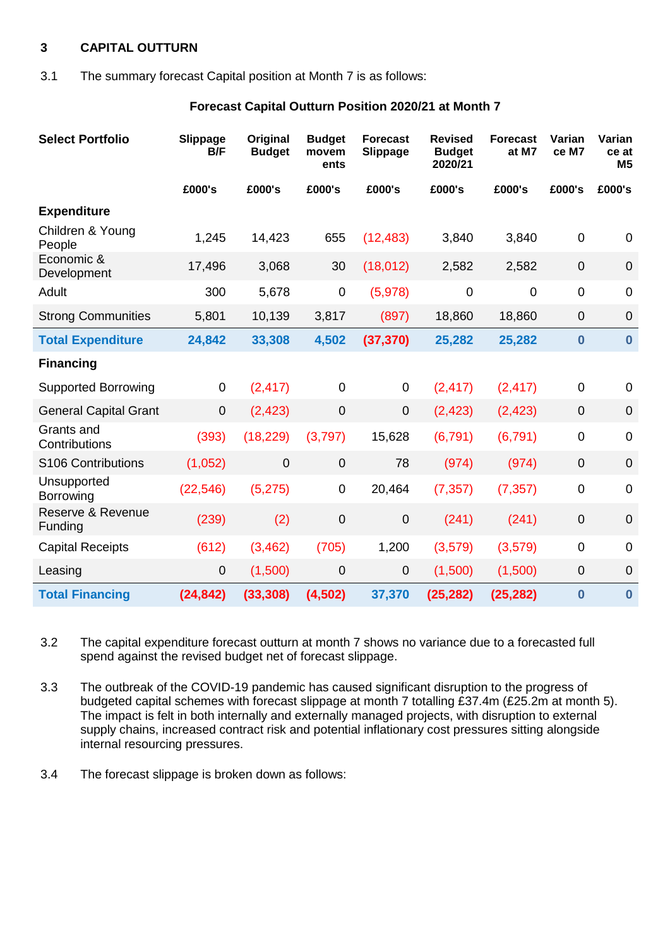### **3 CAPITAL OUTTURN**

#### 3.1 The summary forecast Capital position at Month 7 is as follows:

### **Forecast Capital Outturn Position 2020/21 at Month 7**

| <b>Select Portfolio</b>         | Slippage<br>B/F | Original<br><b>Budget</b> | <b>Budget</b><br>movem<br>ents | <b>Forecast</b><br>Slippage | <b>Revised</b><br><b>Budget</b><br>2020/21 | <b>Forecast</b><br>at M7 | Varian<br>ce M7  | Varian<br>ce at<br>M <sub>5</sub> |
|---------------------------------|-----------------|---------------------------|--------------------------------|-----------------------------|--------------------------------------------|--------------------------|------------------|-----------------------------------|
|                                 | £000's          | £000's                    | £000's                         | £000's                      | £000's                                     | £000's                   | £000's           | £000's                            |
| <b>Expenditure</b>              |                 |                           |                                |                             |                                            |                          |                  |                                   |
| Children & Young<br>People      | 1,245           | 14,423                    | 655                            | (12, 483)                   | 3,840                                      | 3,840                    | $\mathbf 0$      | 0                                 |
| Economic &<br>Development       | 17,496          | 3,068                     | 30                             | (18, 012)                   | 2,582                                      | 2,582                    | $\boldsymbol{0}$ | $\mathbf 0$                       |
| Adult                           | 300             | 5,678                     | $\mathbf 0$                    | (5,978)                     | $\mathbf 0$                                | $\mathbf 0$              | $\mathbf 0$      | $\overline{0}$                    |
| <b>Strong Communities</b>       | 5,801           | 10,139                    | 3,817                          | (897)                       | 18,860                                     | 18,860                   | $\mathbf 0$      | $\mathbf 0$                       |
| <b>Total Expenditure</b>        | 24,842          | 33,308                    | 4,502                          | (37, 370)                   | 25,282                                     | 25,282                   | $\bf{0}$         | $\bf{0}$                          |
| <b>Financing</b>                |                 |                           |                                |                             |                                            |                          |                  |                                   |
| <b>Supported Borrowing</b>      | $\mathbf 0$     | (2, 417)                  | $\overline{0}$                 | 0                           | (2, 417)                                   | (2, 417)                 | $\mathbf 0$      | 0                                 |
| <b>General Capital Grant</b>    | $\mathbf 0$     | (2, 423)                  | $\mathbf 0$                    | $\overline{0}$              | (2, 423)                                   | (2, 423)                 | $\overline{0}$   | $\overline{0}$                    |
| Grants and<br>Contributions     | (393)           | (18, 229)                 | (3,797)                        | 15,628                      | (6, 791)                                   | (6, 791)                 | $\mathbf 0$      | $\mathbf 0$                       |
| S106 Contributions              | (1,052)         | $\overline{0}$            | $\mathbf 0$                    | 78                          | (974)                                      | (974)                    | $\overline{0}$   | $\mathbf 0$                       |
| Unsupported<br><b>Borrowing</b> | (22, 546)       | (5, 275)                  | $\mathbf 0$                    | 20,464                      | (7, 357)                                   | (7, 357)                 | $\pmb{0}$        | $\mathbf 0$                       |
| Reserve & Revenue<br>Funding    | (239)           | (2)                       | $\mathbf 0$                    | $\boldsymbol{0}$            | (241)                                      | (241)                    | $\pmb{0}$        | $\mathbf 0$                       |
| <b>Capital Receipts</b>         | (612)           | (3, 462)                  | (705)                          | 1,200                       | (3, 579)                                   | (3, 579)                 | $\mathbf 0$      | $\overline{0}$                    |
| Leasing                         | 0               | (1,500)                   | $\mathbf 0$                    | 0                           | (1,500)                                    | (1,500)                  | 0                | $\mathbf 0$                       |
| <b>Total Financing</b>          | (24, 842)       | (33, 308)                 | (4,502)                        | 37,370                      | (25, 282)                                  | (25, 282)                | $\bf{0}$         | $\bf{0}$                          |

3.2 The capital expenditure forecast outturn at month 7 shows no variance due to a forecasted full spend against the revised budget net of forecast slippage.

3.3 The outbreak of the COVID-19 pandemic has caused significant disruption to the progress of budgeted capital schemes with forecast slippage at month 7 totalling £37.4m (£25.2m at month 5). The impact is felt in both internally and externally managed projects, with disruption to external supply chains, increased contract risk and potential inflationary cost pressures sitting alongside internal resourcing pressures.

3.4 The forecast slippage is broken down as follows: